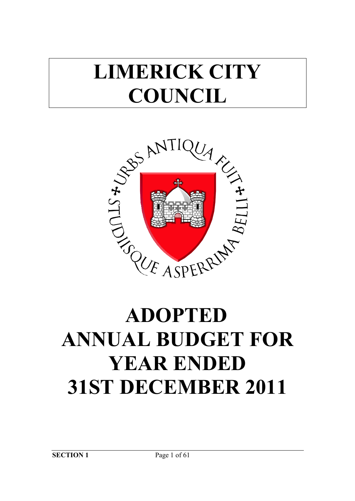## **LIMERICK CITY COUNCIL**



# **ANNUAL BUDGET FOR YEAR ENDED 31ST DECEMBER 2011**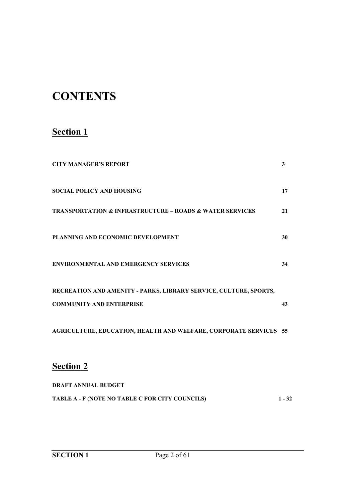## **CONTENTS**

## **Section 1**

| <b>CITY MANAGER'S REPORT</b>                                            | 3  |
|-------------------------------------------------------------------------|----|
| <b>SOCIAL POLICY AND HOUSING</b>                                        | 17 |
| <b>TRANSPORTATION &amp; INFRASTRUCTURE - ROADS &amp; WATER SERVICES</b> | 21 |
| PLANNING AND ECONOMIC DEVELOPMENT                                       | 30 |
| <b>ENVIRONMENTAL AND EMERGENCY SERVICES</b>                             | 34 |
| RECREATION AND AMENITY - PARKS, LIBRARY SERVICE, CULTURE, SPORTS,       |    |
| <b>COMMUNITY AND ENTERPRISE</b>                                         | 43 |
| AGRICULTURE, EDUCATION, HEALTH AND WELFARE, CORPORATE SERVICES 55       |    |
| <b>Section 2</b>                                                        |    |

| <b>DRAFT ANNUAL BUDGET</b>                      |          |
|-------------------------------------------------|----------|
| TABLE A - F (NOTE NO TABLE C FOR CITY COUNCILS) | $1 - 32$ |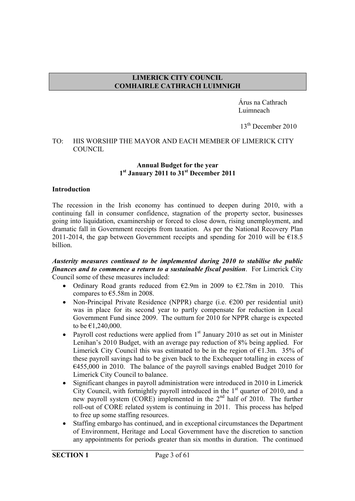#### **LIMERICK CITY COUNCIL COMHAIRLE CATHRACH LUIMNIGH**

 Árus na Cathrach Luimneach

13<sup>th</sup> December 2010

#### TO: HIS WORSHIP THE MAYOR AND EACH MEMBER OF LIMERICK CITY **COUNCIL**

#### **Annual Budget for the year 1st January 2011 to 31st December 2011**

#### **Introduction**

The recession in the Irish economy has continued to deepen during 2010, with a continuing fall in consumer confidence, stagnation of the property sector, businesses going into liquidation, examinership or forced to close down, rising unemployment, and dramatic fall in Government receipts from taxation. As per the National Recovery Plan 2011-2014, the gap between Government receipts and spending for 2010 will be  $E18.5$ billion.

#### *Austerity measures continued to be implemented during 2010 to stabilise the public finances and to commence a return to a sustainable fiscal position*. For Limerick City Council some of these measures included:

- Ordinary Road grants reduced from  $E2.9m$  in 2009 to  $E2.78m$  in 2010. This compares to  $\text{\textsterling}5.58m$  in 2008.
- Non-Principal Private Residence (NPPR) charge (i.e.  $\epsilon$ 200 per residential unit) was in place for its second year to partly compensate for reduction in Local Government Fund since 2009. The outturn for 2010 for NPPR charge is expected to be €1,240,000.
- Payroll cost reductions were applied from  $1<sup>st</sup>$  January 2010 as set out in Minister Lenihan's 2010 Budget, with an average pay reduction of 8% being applied. For Limerick City Council this was estimated to be in the region of  $\epsilon$ 1.3m. 35% of these payroll savings had to be given back to the Exchequer totalling in excess of €455,000 in 2010. The balance of the payroll savings enabled Budget 2010 for Limerick City Council to balance.
- Significant changes in payroll administration were introduced in 2010 in Limerick City Council, with fortnightly payroll introduced in the  $1<sup>st</sup>$  quarter of 2010, and a new payroll system (CORE) implemented in the 2<sup>nd</sup> half of 2010. The further roll-out of CORE related system is continuing in 2011. This process has helped to free up some staffing resources.
- Staffing embargo has continued, and in exceptional circumstances the Department of Environment, Heritage and Local Government have the discretion to sanction any appointments for periods greater than six months in duration. The continued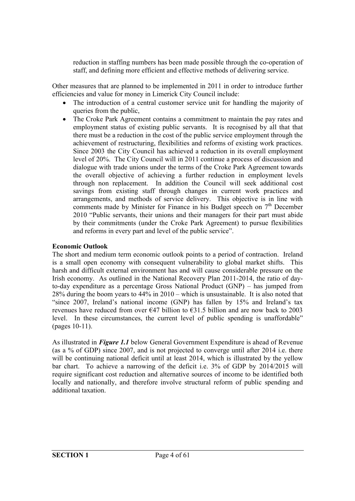reduction in staffing numbers has been made possible through the co-operation of staff, and defining more efficient and effective methods of delivering service.

Other measures that are planned to be implemented in 2011 in order to introduce further efficiencies and value for money in Limerick City Council include:

- The introduction of a central customer service unit for handling the majority of queries from the public,
- The Croke Park Agreement contains a commitment to maintain the pay rates and employment status of existing public servants. It is recognised by all that that there must be a reduction in the cost of the public service employment through the achievement of restructuring, flexibilities and reforms of existing work practices. Since 2003 the City Council has achieved a reduction in its overall employment level of 20%. The City Council will in 2011 continue a process of discussion and dialogue with trade unions under the terms of the Croke Park Agreement towards the overall objective of achieving a further reduction in employment levels through non replacement. In addition the Council will seek additional cost savings from existing staff through changes in current work practices and arrangements, and methods of service delivery. This objective is in line with comments made by Minister for Finance in his Budget speech on  $7<sup>th</sup>$  December 2010 "Public servants, their unions and their managers for their part must abide by their commitments (under the Croke Park Agreement) to pursue flexibilities and reforms in every part and level of the public service".

#### **Economic Outlook**

The short and medium term economic outlook points to a period of contraction. Ireland is a small open economy with consequent vulnerability to global market shifts. This harsh and difficult external environment has and will cause considerable pressure on the Irish economy. As outlined in the National Recovery Plan 2011-2014, the ratio of dayto-day expenditure as a percentage Gross National Product (GNP) – has jumped from 28% during the boom years to 44% in 2010 – which is unsustainable. It is also noted that "since 2007, Ireland's national income (GNP) has fallen by 15% and Ireland's tax revenues have reduced from over  $\epsilon$ 47 billion to  $\epsilon$ 31.5 billion and are now back to 2003 level. In these circumstances, the current level of public spending is unaffordable" (pages 10-11).

As illustrated in *Figure 1.1* below General Government Expenditure is ahead of Revenue (as a % of GDP) since 2007, and is not projected to converge until after 2014 i.e. there will be continuing national deficit until at least 2014, which is illustrated by the yellow bar chart. To achieve a narrowing of the deficit i.e. 3% of GDP by 2014/2015 will require significant cost reduction and alternative sources of income to be identified both locally and nationally, and therefore involve structural reform of public spending and additional taxation.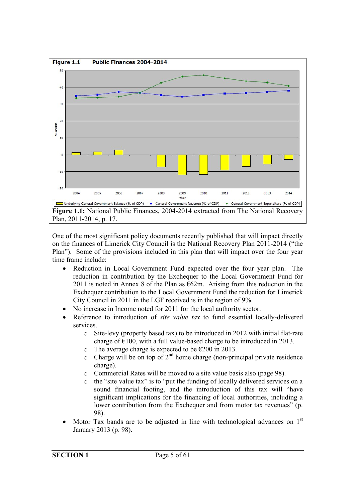

One of the most significant policy documents recently published that will impact directly on the finances of Limerick City Council is the National Recovery Plan 2011-2014 ("the Plan"). Some of the provisions included in this plan that will impact over the four year time frame include:

- Reduction in Local Government Fund expected over the four year plan. The reduction in contribution by the Exchequer to the Local Government Fund for 2011 is noted in Annex 8 of the Plan as  $\epsilon$ 62m. Arising from this reduction in the Exchequer contribution to the Local Government Fund the reduction for Limerick City Council in 2011 in the LGF received is in the region of 9%.
- No increase in Income noted for 2011 for the local authority sector.
- Reference to introduction of *site value tax* to fund essential locally-delivered services.
	- o Site-levy (property based tax) to be introduced in 2012 with initial flat-rate charge of  $\epsilon$ 100, with a full value-based charge to be introduced in 2013.
	- o The average charge is expected to be  $\epsilon$ 200 in 2013.
	- $\circ$  Charge will be on top of  $2<sup>nd</sup>$  home charge (non-principal private residence charge).
	- o Commercial Rates will be moved to a site value basis also (page 98).
	- o the "site value tax" is to "put the funding of locally delivered services on a sound financial footing, and the introduction of this tax will "have significant implications for the financing of local authorities, including a lower contribution from the Exchequer and from motor tax revenues" (p. 98).
- Motor Tax bands are to be adjusted in line with technological advances on  $1<sup>st</sup>$ January 2013 (p. 98).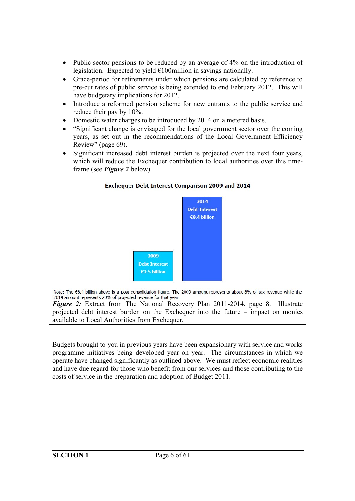- Public sector pensions to be reduced by an average of  $4\%$  on the introduction of legislation. Expected to yield €100million in savings nationally.
- Grace-period for retirements under which pensions are calculated by reference to pre-cut rates of public service is being extended to end February 2012. This will have budgetary implications for 2012.
- Introduce a reformed pension scheme for new entrants to the public service and reduce their pay by 10%.
- Domestic water charges to be introduced by 2014 on a metered basis.
- "Significant change is envisaged for the local government sector over the coming years, as set out in the recommendations of the Local Government Efficiency Review" (page 69).
- Significant increased debt interest burden is projected over the next four years, which will reduce the Exchequer contribution to local authorities over this timeframe (see *Figure 2* below).



Budgets brought to you in previous years have been expansionary with service and works

programme initiatives being developed year on year. The circumstances in which we operate have changed significantly as outlined above. We must reflect economic realities and have due regard for those who benefit from our services and those contributing to the costs of service in the preparation and adoption of Budget 2011.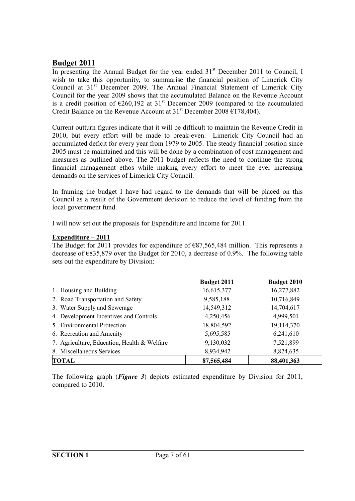#### **Budget 2011**

In presenting the Annual Budget for the year ended  $31<sup>st</sup>$  December 2011 to Council, I wish to take this opportunity, to summarise the financial position of Limerick City Council at 31<sup>st</sup> December 2009. The Annual Financial Statement of Limerick City Council for the year 2009 shows that the accumulated Balance on the Revenue Account is a credit position of  $\epsilon$ 260,192 at 31<sup>st</sup> December 2009 (compared to the accumulated Credit Balance on the Revenue Account at  $31<sup>st</sup>$  December 2008 €178,404).

Current outturn figures indicate that it will be difficult to maintain the Revenue Credit in 2010, but every effort will be made to break-even. Limerick City Council had an accumulated deficit for every year from 1979 to 2005. The steady financial position since 2005 must be maintained and this will be done by a combination of cost management and measures as outlined above. The 2011 budget reflects the need to continue the strong financial management ethos while making every effort to meet the ever increasing demands on the services of Limerick City Council.

In framing the budget I have had regard to the demands that will be placed on this Council as a result of the Government decision to reduce the level of funding from the local government fund.

I will now set out the proposals for Expenditure and Income for 2011.

#### **Expenditure – 2011**

The Budget for 2011 provides for expenditure of  $E$ 87,565,484 million. This represents a decrease of €835,879 over the Budget for 2010, a decrease of 0.9%. The following table sets out the expenditure by Division:

|                                             | <b>Budget 2011</b> | Budget 2010 |
|---------------------------------------------|--------------------|-------------|
| 1. Housing and Building                     | 16,615,377         | 16,277,882  |
| 2. Road Transportation and Safety           | 9,585,188          | 10,716,849  |
| 3. Water Supply and Sewerage                | 14,549,312         | 14,704,617  |
| 4. Development Incentives and Controls      | 4,250,456          | 4,999,501   |
| 5. Environmental Protection                 | 18,804,592         | 19,114,370  |
| 6. Recreation and Amenity                   | 5,695,585          | 6,241,610   |
| 7. Agriculture, Education, Health & Welfare | 9,130,032          | 7,521,899   |
| 8. Miscellaneous Services                   | 8,934,942          | 8,824,635   |
| <b>TOTAL</b>                                | 87,565,484         | 88,401,363  |

The following graph (*Figure 3*) depicts estimated expenditure by Division for 2011, compared to 2010.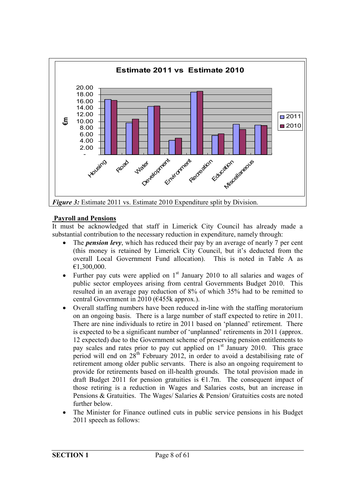

#### **Payroll and Pensions**

It must be acknowledged that staff in Limerick City Council has already made a substantial contribution to the necessary reduction in expenditure, namely through:

- The *pension levy*, which has reduced their pay by an average of nearly 7 per cent (this money is retained by Limerick City Council, but it's deducted from the overall Local Government Fund allocation). This is noted in Table A as €1,300,000.
- Further pay cuts were applied on  $1<sup>st</sup>$  January 2010 to all salaries and wages of public sector employees arising from central Governments Budget 2010. This resulted in an average pay reduction of 8% of which 35% had to be remitted to central Government in 2010 (€455k approx.).
- Overall staffing numbers have been reduced in-line with the staffing moratorium on an ongoing basis. There is a large number of staff expected to retire in 2011. There are nine individuals to retire in 2011 based on 'planned' retirement. There is expected to be a significant number of 'unplanned' retirements in 2011 (approx. 12 expected) due to the Government scheme of preserving pension entitlements to pay scales and rates prior to pay cut applied on 1<sup>st</sup> January 2010. This grace period will end on  $28<sup>th</sup>$  February 2012, in order to avoid a destabilising rate of retirement among older public servants. There is also an ongoing requirement to provide for retirements based on ill-health grounds. The total provision made in draft Budget 2011 for pension gratuities is  $E1.7m$ . The consequent impact of those retiring is a reduction in Wages and Salaries costs, but an increase in Pensions & Gratuities. The Wages/ Salaries & Pension/ Gratuities costs are noted further below.
- The Minister for Finance outlined cuts in public service pensions in his Budget 2011 speech as follows: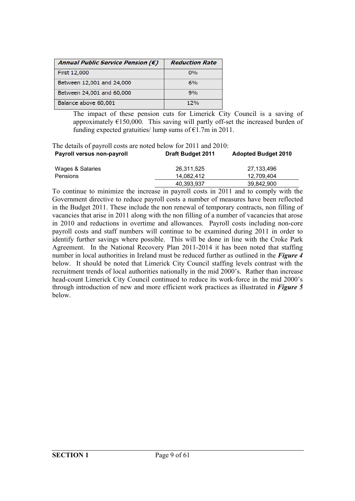| Annual Public Service Pension $(\epsilon)$ | <b>Reduction Rate</b> |
|--------------------------------------------|-----------------------|
| First 12,000                               | $0\%$                 |
| Between 12,001 and 24,000                  | 6%                    |
| Between 24,001 and 60,000                  | 9%                    |
| Balance above 60,001                       | 12%                   |

The impact of these pension cuts for Limerick City Council is a saving of approximately  $\epsilon$ 150,000. This saving will partly off-set the increased burden of funding expected gratuities/ lump sums of  $E1.7m$  in 2011.

The details of payroll costs are noted below for 2011 and 2010: **Payroll versus non-payroll Draft Budget 2011 Adopted Budget 2010**

| Wages & Salaries | 26,311,525 | 27,133,496 |
|------------------|------------|------------|
| Pensions         | 14.082.412 | 12.709.404 |
|                  | 40,393,937 | 39.842.900 |

To continue to minimize the increase in payroll costs in 2011 and to comply with the Government directive to reduce payroll costs a number of measures have been reflected in the Budget 2011. These include the non renewal of temporary contracts, non filling of vacancies that arise in 2011 along with the non filling of a number of vacancies that arose in 2010 and reductions in overtime and allowances. Payroll costs including non-core payroll costs and staff numbers will continue to be examined during 2011 in order to identify further savings where possible. This will be done in line with the Croke Park Agreement. In the National Recovery Plan 2011-2014 it has been noted that staffing number in local authorities in Ireland must be reduced further as outlined in the *Figure 4* below. It should be noted that Limerick City Council staffing levels contrast with the recruitment trends of local authorities nationally in the mid 2000's. Rather than increase head-count Limerick City Council continued to reduce its work-force in the mid 2000's through introduction of new and more efficient work practices as illustrated in *Figure 5* below.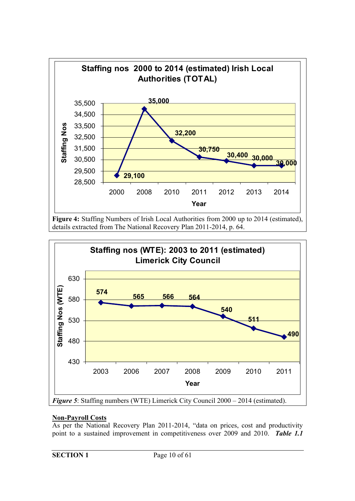

**Figure 4:** Staffing Numbers of Irish Local Authorities from 2000 up to 2014 (estimated), details extracted from The National Recovery Plan 2011-2014, p. 64.



#### **Non-Payroll Costs**

As per the National Recovery Plan 2011-2014, "data on prices, cost and productivity point to a sustained improvement in competitiveness over 2009 and 2010. *Table 1.1*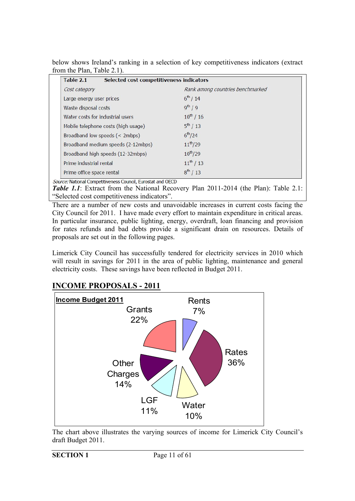| Table 2.1<br>Selected cost competitiveness indicators |                                  |
|-------------------------------------------------------|----------------------------------|
| Cost category                                         | Rank among countries benchmarked |
| Large energy user prices                              | $6^{th}/14$                      |
| Waste disposal costs                                  | $9^{th}$ / 9                     |
| Water costs for industrial users                      | $10^{th}$ / 16                   |
| Mobile telephone costs (high usage)                   | $5^{th}$ / 13                    |
| Broadband low speeds (< 2mbps)                        | $6^{th}/24$                      |
| Broadband medium speeds (2-12mbps)                    | $11^{th}/29$                     |
| Broadband high speeds (12-32mbps)                     | $10^{th}/29$                     |
| Prime industrial rental                               | $11^{th}/13$                     |
| Prime office space rental                             | $8^{th}$ / 13                    |

below shows Ireland's ranking in a selection of key competitiveness indicators (extract from the Plan, Table 2.1).

Source: National Competitiveness Council, Eurostat and OECD

*Table 1.1*: Extract from the National Recovery Plan 2011-2014 (the Plan): Table 2.1: "Selected cost competitiveness indicators".

There are a number of new costs and unavoidable increases in current costs facing the City Council for 2011. I have made every effort to maintain expenditure in critical areas. In particular insurance, public lighting, energy, overdraft, loan financing and provision for rates refunds and bad debts provide a significant drain on resources. Details of proposals are set out in the following pages.

Limerick City Council has successfully tendered for electricity services in 2010 which will result in savings for 2011 in the area of public lighting, maintenance and general electricity costs. These savings have been reflected in Budget 2011.

#### **INCOME PROPOSALS - 2011**



The chart above illustrates the varying sources of income for Limerick City Council's draft Budget 2011.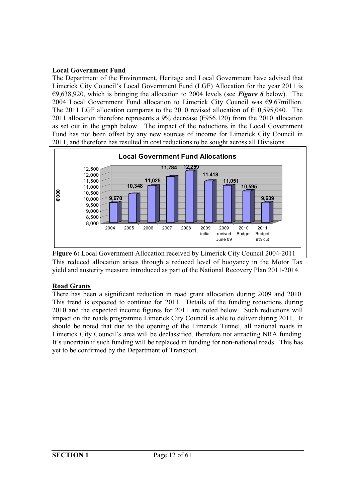#### **Local Government Fund**

The Department of the Environment, Heritage and Local Government have advised that Limerick City Council's Local Government Fund (LGF) Allocation for the year 2011 is €9,638,920, which is bringing the allocation to 2004 levels (see *Figure 6* below). The 2004 Local Government Fund allocation to Limerick City Council was €9.67million. The 2011 LGF allocation compares to the 2010 revised allocation of  $\epsilon$ 10,595,040. The 2011 allocation therefore represents a 9% decrease ( $\epsilon$ 956,120) from the 2010 allocation as set out in the graph below. The impact of the reductions in the Local Government Fund has not been offset by any new sources of income for Limerick City Council in 2011, and therefore has resulted in cost reductions to be sought across all Divisions.



**Figure 6:** Local Government Allocation received by Limerick City Council 2004-2011 This reduced allocation arises through a reduced level of buoyancy in the Motor Tax yield and austerity measure introduced as part of the National Recovery Plan 2011-2014.

#### **Road Grants**

There has been a significant reduction in road grant allocation during 2009 and 2010. This trend is expected to continue for 2011. Details of the funding reductions during 2010 and the expected income figures for 2011 are noted below. Such reductions will impact on the roads programme Limerick City Council is able to deliver during 2011. It should be noted that due to the opening of the Limerick Tunnel, all national roads in Limerick City Council's area will be declassified, therefore not attracting NRA funding. It's uncertain if such funding will be replaced in funding for non-national roads. This has yet to be confirmed by the Department of Transport.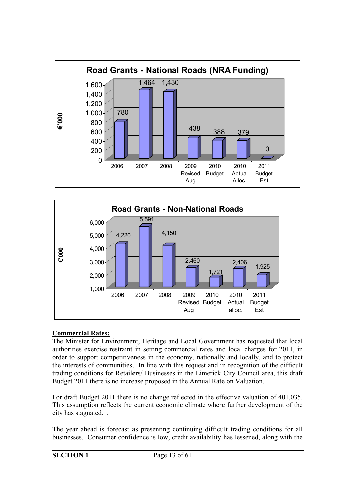



#### **Commercial Rates:**

The Minister for Environment, Heritage and Local Government has requested that local authorities exercise restraint in setting commercial rates and local charges for 2011, in order to support competitiveness in the economy, nationally and locally, and to protect the interests of communities. In line with this request and in recognition of the difficult trading conditions for Retailers/ Businesses in the Limerick City Council area, this draft Budget 2011 there is no increase proposed in the Annual Rate on Valuation.

For draft Budget 2011 there is no change reflected in the effective valuation of 401,035. This assumption reflects the current economic climate where further development of the city has stagnated. .

The year ahead is forecast as presenting continuing difficult trading conditions for all businesses. Consumer confidence is low, credit availability has lessened, along with the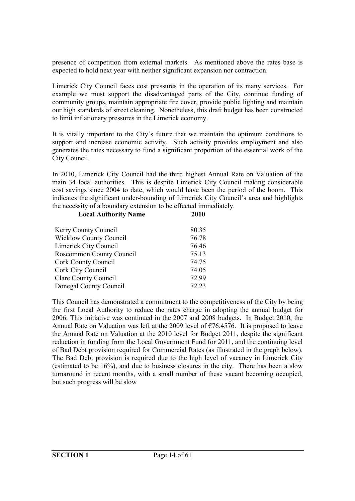presence of competition from external markets. As mentioned above the rates base is expected to hold next year with neither significant expansion nor contraction.

Limerick City Council faces cost pressures in the operation of its many services. For example we must support the disadvantaged parts of the City, continue funding of community groups, maintain appropriate fire cover, provide public lighting and maintain our high standards of street cleaning. Nonetheless, this draft budget has been constructed to limit inflationary pressures in the Limerick economy.

It is vitally important to the City's future that we maintain the optimum conditions to support and increase economic activity. Such activity provides employment and also generates the rates necessary to fund a significant proportion of the essential work of the City Council.

In 2010, Limerick City Council had the third highest Annual Rate on Valuation of the main 34 local authorities. This is despite Limerick City Council making considerable cost savings since 2004 to date, which would have been the period of the boom. This indicates the significant under-bounding of Limerick City Council's area and highlights the necessity of a boundary extension to be effected immediately.<br>
Local Authority Name 2010 **Local Authority Name** 

| <b>E</b> ocal Additionly Prainc | 40 L V |
|---------------------------------|--------|
| Kerry County Council            | 80.35  |
| <b>Wicklow County Council</b>   | 76.78  |
| Limerick City Council           | 76.46  |
| Roscommon County Council        | 75.13  |
| Cork County Council             | 74.75  |
| Cork City Council               | 74.05  |
| Clare County Council            | 72.99  |
| Donegal County Council          | 72.23  |

This Council has demonstrated a commitment to the competitiveness of the City by being the first Local Authority to reduce the rates charge in adopting the annual budget for 2006. This initiative was continued in the 2007 and 2008 budgets. In Budget 2010, the Annual Rate on Valuation was left at the 2009 level of  $\epsilon$ 76.4576. It is proposed to leave the Annual Rate on Valuation at the 2010 level for Budget 2011, despite the significant reduction in funding from the Local Government Fund for 2011, and the continuing level of Bad Debt provision required for Commercial Rates (as illustrated in the graph below). The Bad Debt provision is required due to the high level of vacancy in Limerick City (estimated to be 16%), and due to business closures in the city. There has been a slow turnaround in recent months, with a small number of these vacant becoming occupied, but such progress will be slow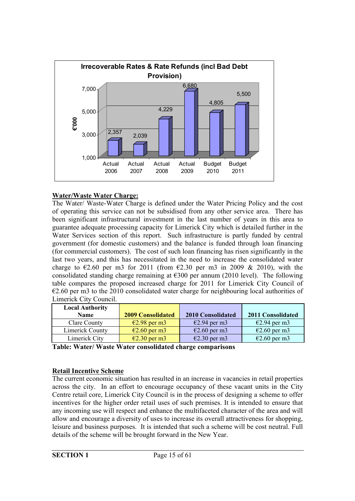

#### **Water/Waste Water Charge:**

The Water/ Waste-Water Charge is defined under the Water Pricing Policy and the cost of operating this service can not be subsidised from any other service area. There has been significant infrastructural investment in the last number of years in this area to guarantee adequate processing capacity for Limerick City which is detailed further in the Water Services section of this report. Such infrastructure is partly funded by central government (for domestic customers) and the balance is funded through loan financing (for commercial customers). The cost of such loan financing has risen significantly in the last two years, and this has necessitated in the need to increase the consolidated water charge to  $\epsilon$ 2.60 per m3 for 2011 (from  $\epsilon$ 2.30 per m3 in 2009 & 2010), with the consolidated standing charge remaining at  $\epsilon$ 300 per annum (2010 level). The following table compares the proposed increased charge for 2011 for Limerick City Council of  $\epsilon$ 2.60 per m3 to the 2010 consolidated water charge for neighbouring local authorities of Limerick City Council.

| $E2.94$ per m3<br>$E2.94$ per m3                 |
|--------------------------------------------------|
| $\epsilon$ 2.60 per m3<br>$\epsilon$ 2.60 per m3 |
| $\epsilon$ 2.30 per m3<br>$\epsilon$ 2.60 per m3 |
|                                                  |

**Table: Water/ Waste Water consolidated charge comparisons**

#### **Retail Incentive Scheme**

The current economic situation has resulted in an increase in vacancies in retail properties across the city. In an effort to encourage occupancy of these vacant units in the City Centre retail core, Limerick City Council is in the process of designing a scheme to offer incentives for the higher order retail uses of such premises. It is intended to ensure that any incoming use will respect and enhance the multifaceted character of the area and will allow and encourage a diversity of uses to increase its overall attractiveness for shopping, leisure and business purposes. It is intended that such a scheme will be cost neutral. Full details of the scheme will be brought forward in the New Year.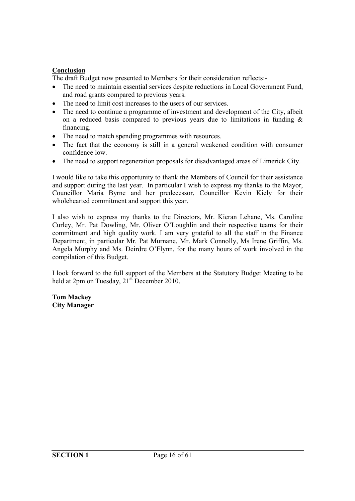#### **Conclusion**

The draft Budget now presented to Members for their consideration reflects:-

- The need to maintain essential services despite reductions in Local Government Fund, and road grants compared to previous years.
- The need to limit cost increases to the users of our services.
- The need to continue a programme of investment and development of the City, albeit on a reduced basis compared to previous years due to limitations in funding  $\&$ financing.
- The need to match spending programmes with resources.
- The fact that the economy is still in a general weakened condition with consumer confidence low.
- The need to support regeneration proposals for disadvantaged areas of Limerick City.

I would like to take this opportunity to thank the Members of Council for their assistance and support during the last year. In particular I wish to express my thanks to the Mayor, Councillor Maria Byrne and her predecessor, Councillor Kevin Kiely for their wholehearted commitment and support this year.

I also wish to express my thanks to the Directors, Mr. Kieran Lehane, Ms. Caroline Curley, Mr. Pat Dowling, Mr. Oliver O'Loughlin and their respective teams for their commitment and high quality work. I am very grateful to all the staff in the Finance Department, in particular Mr. Pat Murnane, Mr. Mark Connolly, Ms Irene Griffin, Ms. Angela Murphy and Ms. Deirdre O'Flynn, for the many hours of work involved in the compilation of this Budget.

I look forward to the full support of the Members at the Statutory Budget Meeting to be held at 2pm on Tuesday,  $21<sup>st</sup>$  December 2010.

**Tom Mackey City Manager**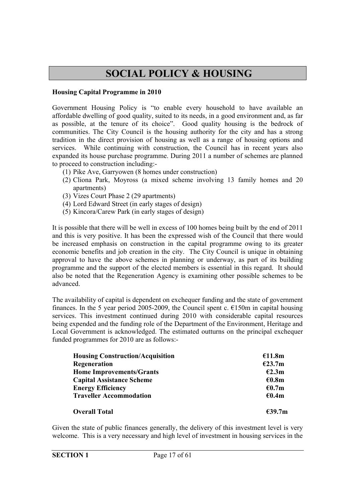## **SOCIAL POLICY & HOUSING**

#### **Housing Capital Programme in 2010**

Government Housing Policy is "to enable every household to have available an affordable dwelling of good quality, suited to its needs, in a good environment and, as far as possible, at the tenure of its choice". Good quality housing is the bedrock of communities. The City Council is the housing authority for the city and has a strong tradition in the direct provision of housing as well as a range of housing options and services. While continuing with construction, the Council has in recent years also expanded its house purchase programme. During 2011 a number of schemes are planned to proceed to construction including:-

- (1) Pike Ave, Garryowen (8 homes under construction)
- (2) Cliona Park, Moyross (a mixed scheme involving 13 family homes and 20 apartments)
- (3) Vizes Court Phase 2 (29 apartments)
- (4) Lord Edward Street (in early stages of design)
- (5) Kincora/Carew Park (in early stages of design)

It is possible that there will be well in excess of 100 homes being built by the end of 2011 and this is very positive. It has been the expressed wish of the Council that there would be increased emphasis on construction in the capital programme owing to its greater economic benefits and job creation in the city. The City Council is unique in obtaining approval to have the above schemes in planning or underway, as part of its building programme and the support of the elected members is essential in this regard. It should also be noted that the Regeneration Agency is examining other possible schemes to be advanced.

The availability of capital is dependent on exchequer funding and the state of government finances. In the 5 year period 2005-2009, the Council spent c.  $\epsilon$ 150m in capital housing services. This investment continued during 2010 with considerable capital resources being expended and the funding role of the Department of the Environment, Heritage and Local Government is acknowledged. The estimated outturns on the principal exchequer funded programmes for 2010 are as follows:-

| <b>Housing Construction/Acquisition</b> | €11.8m           |
|-----------------------------------------|------------------|
| Regeneration                            | E23.7m           |
| <b>Home Improvements/Grants</b>         | E2.3m            |
| <b>Capital Assistance Scheme</b>        | €0.8m            |
| <b>Energy Efficiency</b>                | € $0.7m$         |
| <b>Traveller Accommodation</b>          | €0.4m            |
| <b>Overall Total</b>                    | $\epsilon$ 39.7m |

Given the state of public finances generally, the delivery of this investment level is very welcome. This is a very necessary and high level of investment in housing services in the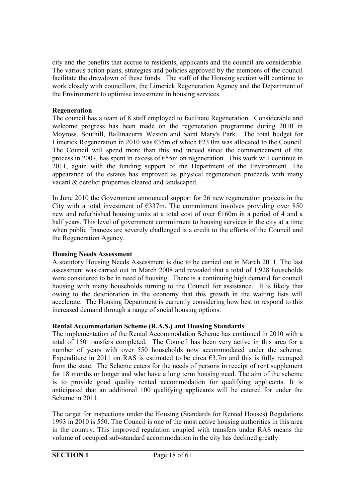city and the benefits that accrue to residents, applicants and the council are considerable. The various action plans, strategies and policies approved by the members of the council facilitate the drawdown of these funds. The staff of the Housing section will continue to work closely with councillors, the Limerick Regeneration Agency and the Department of the Environment to optimise investment in housing services.

#### **Regeneration**

The council has a team of 8 staff employed to facilitate Regeneration. Considerable and welcome progress has been made on the regeneration programme during 2010 in Moyross, Southill, Ballinacurra Weston and Saint Mary's Park. The total budget for Limerick Regeneration in 2010 was  $\epsilon$ 35m of which  $\epsilon$ 23.0m was allocated to the Council. The Council will spend more than this and indeed since the commencement of the process in 2007, has spent in excess of €55m on regeneration. This work will continue in 2011, again with the funding support of the Department of the Environment. The appearance of the estates has improved as physical regeneration proceeds with many vacant & derelict properties cleared and landscaped.

In June 2010 the Government announced support for 26 new regeneration projects in the City with a total investment of  $\epsilon$ 337m. The commitment involves providing over 850 new and refurbished housing units at a total cost of over €160m in a period of 4 and a half years. This level of government commitment to housing services in the city at a time when public finances are severely challenged is a credit to the efforts of the Council and the Regeneration Agency.

#### **Housing Needs Assessment**

A statutory Housing Needs Assessment is due to be carried out in March 2011. The last assessment was carried out in March 2008 and revealed that a total of 1,928 households were considered to be in need of housing. There is a continuing high demand for council housing with many households turning to the Council for assistance. It is likely that owing to the deterioration in the economy that this growth in the waiting lists will accelerate. The Housing Department is currently considering how best to respond to this increased demand through a range of social housing options.

#### **Rental Accommodation Scheme (R.A.S.) and Housing Standards**

The implementation of the Rental Accommodation Scheme has continued in 2010 with a total of 150 transfers completed. The Council has been very active in this area for a number of years with over 550 households now accommodated under the scheme. Expenditure in 2011 on RAS is estimated to be circa  $\epsilon$ 3.7m and this is fully recouped from the state. The Scheme caters for the needs of persons in receipt of rent supplement for 18 months or longer and who have a long term housing need. The aim of the scheme is to provide good quality rented accommodation for qualifying applicants. It is anticipated that an additional 100 qualifying applicants will be catered for under the Scheme in 2011.

The target for inspections under the Housing (Standards for Rented Houses) Regulations 1993 in 2010 is 550. The Council is one of the most active housing authorities in this area in the country. This improved regulation coupled with transfers under RAS means the volume of occupied sub-standard accommodation in the city has declined greatly.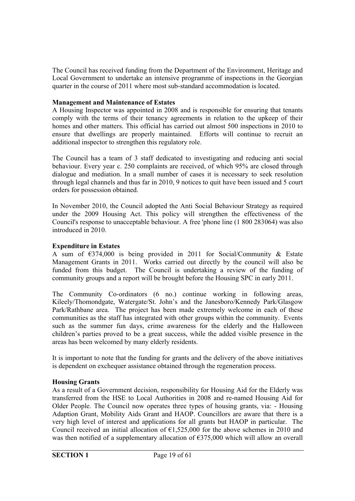The Council has received funding from the Department of the Environment, Heritage and Local Government to undertake an intensive programme of inspections in the Georgian quarter in the course of 2011 where most sub-standard accommodation is located.

#### **Management and Maintenance of Estates**

A Housing Inspector was appointed in 2008 and is responsible for ensuring that tenants comply with the terms of their tenancy agreements in relation to the upkeep of their homes and other matters. This official has carried out almost 500 inspections in 2010 to ensure that dwellings are properly maintained. Efforts will continue to recruit an additional inspector to strengthen this regulatory role.

The Council has a team of 3 staff dedicated to investigating and reducing anti social behaviour. Every year c. 250 complaints are received, of which 95% are closed through dialogue and mediation. In a small number of cases it is necessary to seek resolution through legal channels and thus far in 2010, 9 notices to quit have been issued and 5 court orders for possession obtained.

In November 2010, the Council adopted the Anti Social Behaviour Strategy as required under the 2009 Housing Act. This policy will strengthen the effectiveness of the Council's response to unacceptable behaviour. A free 'phone line (1 800 283064) was also introduced in 2010.

#### **Expenditure in Estates**

A sum of  $\epsilon$ 374,000 is being provided in 2011 for Social/Community & Estate Management Grants in 2011. Works carried out directly by the council will also be funded from this budget. The Council is undertaking a review of the funding of community groups and a report will be brought before the Housing SPC in early 2011.

The Community Co-ordinators (6 no.) continue working in following areas, Kileely/Thomondgate, Watergate/St. John's and the Janesboro/Kennedy Park/Glasgow Park/Rathbane area. The project has been made extremely welcome in each of these communities as the staff has integrated with other groups within the community. Events such as the summer fun days, crime awareness for the elderly and the Halloween children's parties proved to be a great success, while the added visible presence in the areas has been welcomed by many elderly residents.

It is important to note that the funding for grants and the delivery of the above initiatives is dependent on exchequer assistance obtained through the regeneration process.

#### **Housing Grants**

As a result of a Government decision, responsibility for Housing Aid for the Elderly was transferred from the HSE to Local Authorities in 2008 and re-named Housing Aid for Older People. The Council now operates three types of housing grants, via: - Housing Adaption Grant, Mobility Aids Grant and HAOP. Councillors are aware that there is a very high level of interest and applications for all grants but HAOP in particular. The Council received an initial allocation of  $\epsilon$ 1,525,000 for the above schemes in 2010 and was then notified of a supplementary allocation of  $\epsilon$ 375,000 which will allow an overall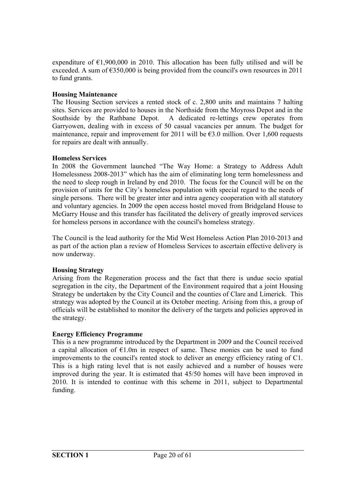expenditure of  $\epsilon$ 1,900,000 in 2010. This allocation has been fully utilised and will be exceeded. A sum of  $\epsilon$ 350,000 is being provided from the council's own resources in 2011 to fund grants.

#### **Housing Maintenance**

The Housing Section services a rented stock of c. 2,800 units and maintains 7 halting sites. Services are provided to houses in the Northside from the Moyross Depot and in the Southside by the Rathbane Depot. A dedicated re-lettings crew operates from Garryowen, dealing with in excess of 50 casual vacancies per annum. The budget for maintenance, repair and improvement for 2011 will be  $\epsilon$ 3.0 million. Over 1,600 requests for repairs are dealt with annually.

#### **Homeless Services**

In 2008 the Government launched "The Way Home: a Strategy to Address Adult Homelessness 2008-2013" which has the aim of eliminating long term homelessness and the need to sleep rough in Ireland by end 2010. The focus for the Council will be on the provision of units for the City's homeless population with special regard to the needs of single persons. There will be greater inter and intra agency cooperation with all statutory and voluntary agencies. In 2009 the open access hostel moved from Bridgeland House to McGarry House and this transfer has facilitated the delivery of greatly improved services for homeless persons in accordance with the council's homeless strategy.

The Council is the lead authority for the Mid West Homeless Action Plan 2010-2013 and as part of the action plan a review of Homeless Services to ascertain effective delivery is now underway.

#### **Housing Strategy**

Arising from the Regeneration process and the fact that there is undue socio spatial segregation in the city, the Department of the Environment required that a joint Housing Strategy be undertaken by the City Council and the counties of Clare and Limerick. This strategy was adopted by the Council at its October meeting. Arising from this, a group of officials will be established to monitor the delivery of the targets and policies approved in the strategy.

#### **Energy Efficiency Programme**

This is a new programme introduced by the Department in 2009 and the Council received a capital allocation of  $E1.0m$  in respect of same. These monies can be used to fund improvements to the council's rented stock to deliver an energy efficiency rating of C1. This is a high rating level that is not easily achieved and a number of houses were improved during the year. It is estimated that 45/50 homes will have been improved in 2010. It is intended to continue with this scheme in 2011, subject to Departmental funding.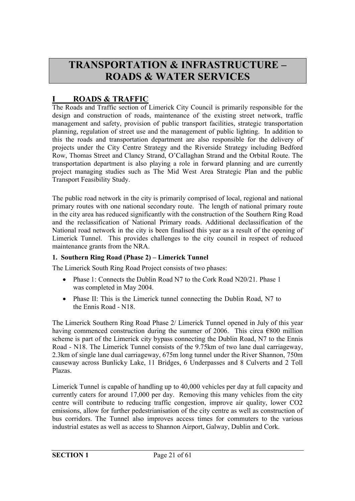## **TRANSPORTATION & INFRASTRUCTURE – ROADS & WATER SERVICES**

#### **I ROADS & TRAFFIC**

The Roads and Traffic section of Limerick City Council is primarily responsible for the design and construction of roads, maintenance of the existing street network, traffic management and safety, provision of public transport facilities, strategic transportation planning, regulation of street use and the management of public lighting. In addition to this the roads and transportation department are also responsible for the delivery of projects under the City Centre Strategy and the Riverside Strategy including Bedford Row, Thomas Street and Clancy Strand, O'Callaghan Strand and the Orbital Route. The transportation department is also playing a role in forward planning and are currently project managing studies such as The Mid West Area Strategic Plan and the public Transport Feasibility Study.

The public road network in the city is primarily comprised of local, regional and national primary routes with one national secondary route. The length of national primary route in the city area has reduced significantly with the construction of the Southern Ring Road and the reclassification of National Primary roads. Additional declassification of the National road network in the city is been finalised this year as a result of the opening of Limerick Tunnel. This provides challenges to the city council in respect of reduced maintenance grants from the NRA.

#### **1. Southern Ring Road (Phase 2) – Limerick Tunnel**

The Limerick South Ring Road Project consists of two phases:

- Phase 1: Connects the Dublin Road N7 to the Cork Road N20/21. Phase 1 was completed in May 2004.
- Phase II: This is the Limerick tunnel connecting the Dublin Road, N7 to the Ennis Road - N18.

The Limerick Southern Ring Road Phase 2/ Limerick Tunnel opened in July of this year having commenced construction during the summer of 2006. This circa  $\epsilon$ 800 million scheme is part of the Limerick city bypass connecting the Dublin Road, N7 to the Ennis Road - N18. The Limerick Tunnel consists of the 9.75km of two lane dual carriageway, 2.3km of single lane dual carriageway, 675m long tunnel under the River Shannon, 750m causeway across Bunlicky Lake, 11 Bridges, 6 Underpasses and 8 Culverts and 2 Toll Plazas.

Limerick Tunnel is capable of handling up to 40,000 vehicles per day at full capacity and currently caters for around 17,000 per day. Removing this many vehicles from the city centre will contribute to reducing traffic congestion, improve air quality, lower CO2 emissions, allow for further pedestrianisation of the city centre as well as construction of bus corridors. The Tunnel also improves access times for commuters to the various industrial estates as well as access to Shannon Airport, Galway, Dublin and Cork.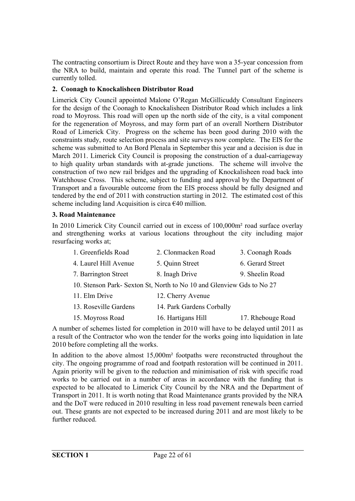The contracting consortium is Direct Route and they have won a 35-year concession from the NRA to build, maintain and operate this road. The Tunnel part of the scheme is currently tolled.

#### **2. Coonagh to Knockalisheen Distributor Road**

Limerick City Council appointed Malone O'Regan McGillicuddy Consultant Engineers for the design of the Coonagh to Knockalisheen Distributor Road which includes a link road to Moyross. This road will open up the north side of the city, is a vital component for the regeneration of Moyross, and may form part of an overall Northern Distributor Road of Limerick City. Progress on the scheme has been good during 2010 with the constraints study, route selection process and site surveys now complete. The EIS for the scheme was submitted to An Bord Plenala in September this year and a decision is due in March 2011. Limerick City Council is proposing the construction of a dual-carriageway to high quality urban standards with at-grade junctions. The scheme will involve the construction of two new rail bridges and the upgrading of Knockalisheen road back into Watchhouse Cross. This scheme, subject to funding and approval by the Department of Transport and a favourable outcome from the EIS process should be fully designed and tendered by the end of 2011 with construction starting in 2012. The estimated cost of this scheme including land Acquisition is circa  $\epsilon$ 40 million.

#### **3. Road Maintenance**

In 2010 Limerick City Council carried out in excess of 100,000m² road surface overlay and strengthening works at various locations throughout the city including major resurfacing works at;

| 1. Greenfields Road                                                   | 2. Clonmacken Road        | 3. Coonagh Roads |  |
|-----------------------------------------------------------------------|---------------------------|------------------|--|
| 4. Laurel Hill Avenue                                                 | 5. Quinn Street           | 6. Gerard Street |  |
| 7. Barrington Street                                                  | 8. Inagh Drive            | 9. Sheelin Road  |  |
| 10. Stenson Park- Sexton St, North to No 10 and Glenview Gds to No 27 |                           |                  |  |
| 11. Elm Drive                                                         | 12. Cherry Avenue         |                  |  |
| 13. Roseville Gardens                                                 | 14. Park Gardens Corbally |                  |  |

| 15. Moyross Road | 16. Hartigans Hill | 17. Rhebouge Road |
|------------------|--------------------|-------------------|

A number of schemes listed for completion in 2010 will have to be delayed until 2011 as a result of the Contractor who won the tender for the works going into liquidation in late 2010 before completing all the works.

In addition to the above almost 15,000m² footpaths were reconstructed throughout the city. The ongoing programme of road and footpath restoration will be continued in 2011. Again priority will be given to the reduction and minimisation of risk with specific road works to be carried out in a number of areas in accordance with the funding that is expected to be allocated to Limerick City Council by the NRA and the Department of Transport in 2011. It is worth noting that Road Maintenance grants provided by the NRA and the DoT were reduced in 2010 resulting in less road pavement renewals been carried out. These grants are not expected to be increased during 2011 and are most likely to be further reduced.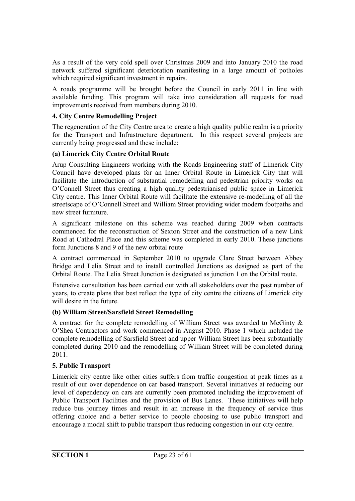As a result of the very cold spell over Christmas 2009 and into January 2010 the road network suffered significant deterioration manifesting in a large amount of potholes which required significant investment in repairs.

A roads programme will be brought before the Council in early 2011 in line with available funding. This program will take into consideration all requests for road improvements received from members during 2010.

#### **4. City Centre Remodelling Project**

The regeneration of the City Centre area to create a high quality public realm is a priority for the Transport and Infrastructure department. In this respect several projects are currently being progressed and these include:

#### **(a) Limerick City Centre Orbital Route**

Arup Consulting Engineers working with the Roads Engineering staff of Limerick City Council have developed plans for an Inner Orbital Route in Limerick City that will facilitate the introduction of substantial remodelling and pedestrian priority works on O'Connell Street thus creating a high quality pedestrianised public space in Limerick City centre. This Inner Orbital Route will facilitate the extensive re-modelling of all the streetscape of O'Connell Street and William Street providing wider modern footpaths and new street furniture.

A significant milestone on this scheme was reached during 2009 when contracts commenced for the reconstruction of Sexton Street and the construction of a new Link Road at Cathedral Place and this scheme was completed in early 2010. These junctions form Junctions 8 and 9 of the new orbital route

A contract commenced in September 2010 to upgrade Clare Street between Abbey Bridge and Lelia Street and to install controlled Junctions as designed as part of the Orbital Route. The Lelia Street Junction is designated as junction 1 on the Orbital route.

Extensive consultation has been carried out with all stakeholders over the past number of years, to create plans that best reflect the type of city centre the citizens of Limerick city will desire in the future.

#### **(b) William Street/Sarsfield Street Remodelling**

A contract for the complete remodelling of William Street was awarded to McGinty & O'Shea Contractors and work commenced in August 2010. Phase 1 which included the complete remodelling of Sarsfield Street and upper William Street has been substantially completed during 2010 and the remodelling of William Street will be completed during 2011.

#### **5. Public Transport**

Limerick city centre like other cities suffers from traffic congestion at peak times as a result of our over dependence on car based transport. Several initiatives at reducing our level of dependency on cars are currently been promoted including the improvement of Public Transport Facilities and the provision of Bus Lanes. These initiatives will help reduce bus journey times and result in an increase in the frequency of service thus offering choice and a better service to people choosing to use public transport and encourage a modal shift to public transport thus reducing congestion in our city centre.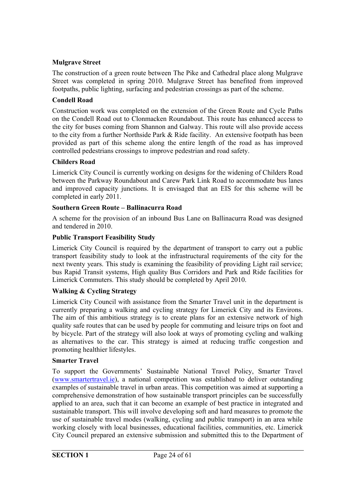#### **Mulgrave Street**

The construction of a green route between The Pike and Cathedral place along Mulgrave Street was completed in spring 2010. Mulgrave Street has benefited from improved footpaths, public lighting, surfacing and pedestrian crossings as part of the scheme.

#### **Condell Road**

Construction work was completed on the extension of the Green Route and Cycle Paths on the Condell Road out to Clonmacken Roundabout. This route has enhanced access to the city for buses coming from Shannon and Galway. This route will also provide access to the city from a further Northside Park & Ride facility. An extensive footpath has been provided as part of this scheme along the entire length of the road as has improved controlled pedestrians crossings to improve pedestrian and road safety.

#### **Childers Road**

Limerick City Council is currently working on designs for the widening of Childers Road between the Parkway Roundabout and Carew Park Link Road to accommodate bus lanes and improved capacity junctions. It is envisaged that an EIS for this scheme will be completed in early 2011.

#### **Southern Green Route – Ballinacurra Road**

A scheme for the provision of an inbound Bus Lane on Ballinacurra Road was designed and tendered in 2010.

#### **Public Transport Feasibility Study**

Limerick City Council is required by the department of transport to carry out a public transport feasibility study to look at the infrastructural requirements of the city for the next twenty years. This study is examining the feasibility of providing Light rail service; bus Rapid Transit systems, High quality Bus Corridors and Park and Ride facilities for Limerick Commuters. This study should be completed by April 2010.

#### **Walking & Cycling Strategy**

Limerick City Council with assistance from the Smarter Travel unit in the department is currently preparing a walking and cycling strategy for Limerick City and its Environs. The aim of this ambitious strategy is to create plans for an extensive network of high quality safe routes that can be used by people for commuting and leisure trips on foot and by bicycle. Part of the strategy will also look at ways of promoting cycling and walking as alternatives to the car. This strategy is aimed at reducing traffic congestion and promoting healthier lifestyles.

#### **Smarter Travel**

To support the Governments' Sustainable National Travel Policy, Smarter Travel (www.smartertravel.ie), a national competition was established to deliver outstanding examples of sustainable travel in urban areas. This competition was aimed at supporting a comprehensive demonstration of how sustainable transport principles can be successfully applied to an area, such that it can become an example of best practice in integrated and sustainable transport. This will involve developing soft and hard measures to promote the use of sustainable travel modes (walking, cycling and public transport) in an area while working closely with local businesses, educational facilities, communities, etc. Limerick City Council prepared an extensive submission and submitted this to the Department of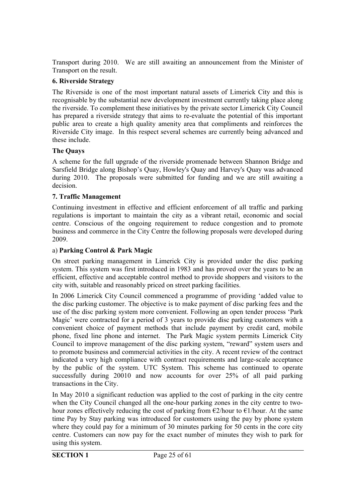Transport during 2010. We are still awaiting an announcement from the Minister of Transport on the result.

#### **6. Riverside Strategy**

The Riverside is one of the most important natural assets of Limerick City and this is recognisable by the substantial new development investment currently taking place along the riverside. To complement these initiatives by the private sector Limerick City Council has prepared a riverside strategy that aims to re-evaluate the potential of this important public area to create a high quality amenity area that compliments and reinforces the Riverside City image. In this respect several schemes are currently being advanced and these include.

#### **The Quays**

A scheme for the full upgrade of the riverside promenade between Shannon Bridge and Sarsfield Bridge along Bishop's Quay, Howley's Quay and Harvey's Quay was advanced during 2010. The proposals were submitted for funding and we are still awaiting a decision.

#### **7. Traffic Management**

Continuing investment in effective and efficient enforcement of all traffic and parking regulations is important to maintain the city as a vibrant retail, economic and social centre. Conscious of the ongoing requirement to reduce congestion and to promote business and commerce in the City Centre the following proposals were developed during 2009.

#### a) **Parking Control & Park Magic**

On street parking management in Limerick City is provided under the disc parking system. This system was first introduced in 1983 and has proved over the years to be an efficient, effective and acceptable control method to provide shoppers and visitors to the city with, suitable and reasonably priced on street parking facilities.

In 2006 Limerick City Council commenced a programme of providing 'added value to the disc parking customer. The objective is to make payment of disc parking fees and the use of the disc parking system more convenient. Following an open tender process 'Park Magic' were contracted for a period of 3 years to provide disc parking customers with a convenient choice of payment methods that include payment by credit card, mobile phone, fixed line phone and internet. The Park Magic system permits Limerick City Council to improve management of the disc parking system, "reward" system users and to promote business and commercial activities in the city. A recent review of the contract indicated a very high compliance with contract requirements and large-scale acceptance by the public of the system. UTC System. This scheme has continued to operate successfully during 20010 and now accounts for over 25% of all paid parking transactions in the City.

In May 2010 a significant reduction was applied to the cost of parking in the city centre when the City Council changed all the one-hour parking zones in the city centre to twohour zones effectively reducing the cost of parking from  $\epsilon$ 2/hour to  $\epsilon$ 1/hour. At the same time Pay by Stay parking was introduced for customers using the pay by phone system where they could pay for a minimum of 30 minutes parking for 50 cents in the core city centre. Customers can now pay for the exact number of minutes they wish to park for using this system.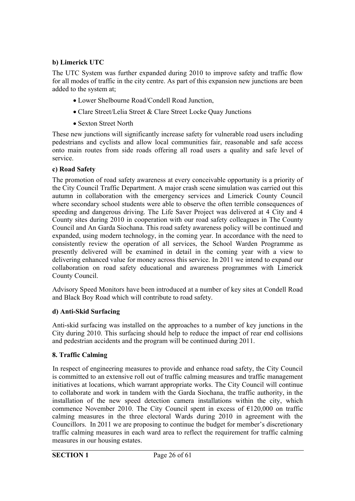#### **b) Limerick UTC**

The UTC System was further expanded during 2010 to improve safety and traffic flow for all modes of traffic in the city centre. As part of this expansion new junctions are been added to the system at;

- Lower Shelbourne Road/Condell Road Junction,
- Clare Street/Lelia Street & Clare Street Locke Quay Junctions
- Sexton Street North

These new junctions will significantly increase safety for vulnerable road users including pedestrians and cyclists and allow local communities fair, reasonable and safe access onto main routes from side roads offering all road users a quality and safe level of service.

#### **c) Road Safety**

The promotion of road safety awareness at every conceivable opportunity is a priority of the City Council Traffic Department. A major crash scene simulation was carried out this autumn in collaboration with the emergency services and Limerick County Council where secondary school students were able to observe the often terrible consequences of speeding and dangerous driving. The Life Saver Project was delivered at 4 City and 4 County sites during 2010 in cooperation with our road safety colleagues in The County Council and An Garda Siochana. This road safety awareness policy will be continued and expanded, using modern technology, in the coming year. In accordance with the need to consistently review the operation of all services, the School Warden Programme as presently delivered will be examined in detail in the coming year with a view to delivering enhanced value for money across this service. In 2011 we intend to expand our collaboration on road safety educational and awareness programmes with Limerick County Council.

Advisory Speed Monitors have been introduced at a number of key sites at Condell Road and Black Boy Road which will contribute to road safety.

#### **d) Anti-Skid Surfacing**

Anti-skid surfacing was installed on the approaches to a number of key junctions in the City during 2010. This surfacing should help to reduce the impact of rear end collisions and pedestrian accidents and the program will be continued during 2011.

#### **8. Traffic Calming**

In respect of engineering measures to provide and enhance road safety, the City Council is committed to an extensive roll out of traffic calming measures and traffic management initiatives at locations, which warrant appropriate works. The City Council will continue to collaborate and work in tandem with the Garda Siochana, the traffic authority, in the installation of the new speed detection camera installations within the city, which commence November 2010. The City Council spent in excess of  $E120,000$  on traffic calming measures in the three electoral Wards during 2010 in agreement with the Councillors. In 2011 we are proposing to continue the budget for member's discretionary traffic calming measures in each ward area to reflect the requirement for traffic calming measures in our housing estates.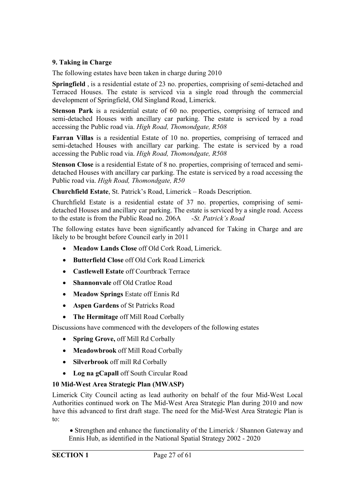#### **9. Taking in Charge**

The following estates have been taken in charge during 2010

**Springfield** , is a residential estate of 23 no. properties, comprising of semi-detached and Terraced Houses. The estate is serviced via a single road through the commercial development of Springfield, Old Singland Road, Limerick.

**Stenson Park** is a residential estate of 60 no. properties, comprising of terraced and semi-detached Houses with ancillary car parking. The estate is serviced by a road accessing the Public road via. *High Road, Thomondgate, R508*

**Farran Villas** is a residential Estate of 10 no. properties, comprising of terraced and semi-detached Houses with ancillary car parking. The estate is serviced by a road accessing the Public road via. *High Road, Thomondgate, R508*

**Stenson Close** is a residential Estate of 8 no. properties, comprising of terraced and semidetached Houses with ancillary car parking. The estate is serviced by a road accessing the Public road via. *High Road, Thomondgate, R50*

**Churchfield Estate**, St. Patrick's Road, Limerick – Roads Description.

Churchfield Estate is a residential estate of 37 no. properties, comprising of semidetached Houses and ancillary car parking. The estate is serviced by a single road. Access to the estate is from the Public Road no. 206A -*St. Patrick's Road*

The following estates have been significantly advanced for Taking in Charge and are likely to be brought before Council early in 2011

- **Meadow Lands Close** off Old Cork Road, Limerick.
- **Butterfield Close** off Old Cork Road Limerick
- **Castlewell Estate** off Courtbrack Terrace
- **Shannonvale** off Old Cratloe Road
- **Meadow Springs** Estate off Ennis Rd
- **Aspen Gardens** of St Patricks Road
- **The Hermitage** off Mill Road Corbally

Discussions have commenced with the developers of the following estates

- **Spring Grove,** off Mill Rd Corbally
- **Meadowbrook** off Mill Road Corbally
- **Silverbrook** off mill Rd Corbally
- **Log na gCapall** off South Circular Road

#### **10 Mid-West Area Strategic Plan (MWASP)**

Limerick City Council acting as lead authority on behalf of the four Mid-West Local Authorities continued work on The Mid-West Area Strategic Plan during 2010 and now have this advanced to first draft stage. The need for the Mid-West Area Strategic Plan is to:

 Strengthen and enhance the functionality of the Limerick / Shannon Gateway and Ennis Hub, as identified in the National Spatial Strategy 2002 - 2020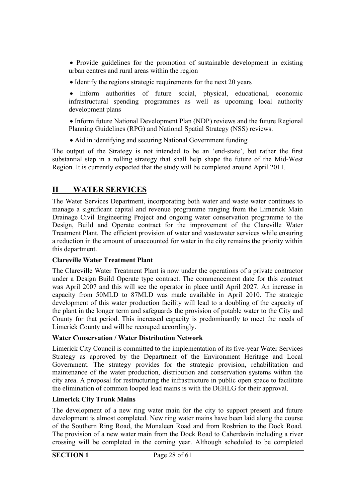Provide guidelines for the promotion of sustainable development in existing urban centres and rural areas within the region

• Identify the regions strategic requirements for the next 20 years

 Inform authorities of future social, physical, educational, economic infrastructural spending programmes as well as upcoming local authority development plans

 Inform future National Development Plan (NDP) reviews and the future Regional Planning Guidelines (RPG) and National Spatial Strategy (NSS) reviews.

• Aid in identifying and securing National Government funding

The output of the Strategy is not intended to be an 'end-state', but rather the first substantial step in a rolling strategy that shall help shape the future of the Mid-West Region. It is currently expected that the study will be completed around April 2011.

#### **II WATER SERVICES**

The Water Services Department, incorporating both water and waste water continues to manage a significant capital and revenue programme ranging from the Limerick Main Drainage Civil Engineering Project and ongoing water conservation programme to the Design, Build and Operate contract for the improvement of the Clareville Water Treatment Plant. The efficient provision of water and wastewater services while ensuring a reduction in the amount of unaccounted for water in the city remains the priority within this department.

#### **Clareville Water Treatment Plant**

The Clareville Water Treatment Plant is now under the operations of a private contractor under a Design Build Operate type contract. The commencement date for this contract was April 2007 and this will see the operator in place until April 2027. An increase in capacity from 50MLD to 87MLD was made available in April 2010. The strategic development of this water production facility will lead to a doubling of the capacity of the plant in the longer term and safeguards the provision of potable water to the City and County for that period. This increased capacity is predominantly to meet the needs of Limerick County and will be recouped accordingly.

#### **Water Conservation / Water Distribution Network**

Limerick City Council is committed to the implementation of its five-year Water Services Strategy as approved by the Department of the Environment Heritage and Local Government. The strategy provides for the strategic provision, rehabilitation and maintenance of the water production, distribution and conservation systems within the city area. A proposal for restructuring the infrastructure in public open space to facilitate the elimination of common looped lead mains is with the DEHLG for their approval.

#### **Limerick City Trunk Mains**

The development of a new ring water main for the city to support present and future development is almost completed. New ring water mains have been laid along the course of the Southern Ring Road, the Monaleen Road and from Rosbrien to the Dock Road. The provision of a new water main from the Dock Road to Caherdavin including a river crossing will be completed in the coming year. Although scheduled to be completed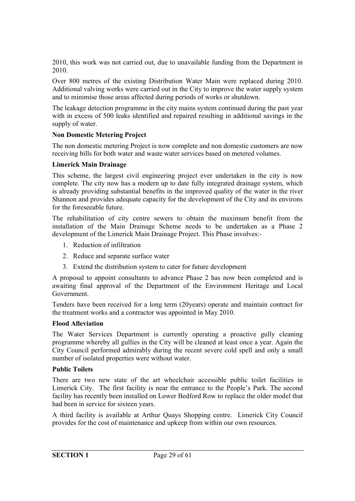2010, this work was not carried out, due to unavailable funding from the Department in 2010.

Over 800 metres of the existing Distribution Water Main were replaced during 2010. Additional valving works were carried out in the City to improve the water supply system and to minimise those areas affected during periods of works or shutdown.

The leakage detection programme in the city mains system continued during the past year with in excess of 500 leaks identified and repaired resulting in additional savings in the supply of water.

#### **Non Domestic Metering Project**

The non domestic metering Project is now complete and non domestic customers are now receiving bills for both water and waste water services based on metered volumes.

#### **Limerick Main Drainage**

This scheme, the largest civil engineering project ever undertaken in the city is now complete. The city now has a modern up to date fully integrated drainage system, which is already providing substantial benefits in the improved quality of the water in the river Shannon and provides adequate capacity for the development of the City and its environs for the foreseeable future.

The rehabilitation of city centre sewers to obtain the maximum benefit from the installation of the Main Drainage Scheme needs to be undertaken as a Phase 2 development of the Limerick Main Drainage Project. This Phase involves:-

- 1. Reduction of infiltration
- 2. Reduce and separate surface water
- 3. Extend the distribution system to cater for future development

A proposal to appoint consultants to advance Phase 2 has now been completed and is awaiting final approval of the Department of the Environment Heritage and Local Government.

Tenders have been received for a long term (20years) operate and maintain contract for the treatment works and a contractor was appointed in May 2010.

#### **Flood Alleviation**

The Water Services Department is currently operating a proactive gully cleaning programme whereby all gullies in the City will be cleaned at least once a year. Again the City Council performed admirably during the recent severe cold spell and only a small number of isolated properties were without water.

#### **Public Toilets**

There are two new state of the art wheelchair accessible public toilet facilities in Limerick City. The first facility is near the entrance to the People's Park. The second facility has recently been installed on Lower Bedford Row to replace the older model that had been in service for sixteen years.

A third facility is available at Arthur Quays Shopping centre. Limerick City Council provides for the cost of maintenance and upkeep from within our own resources.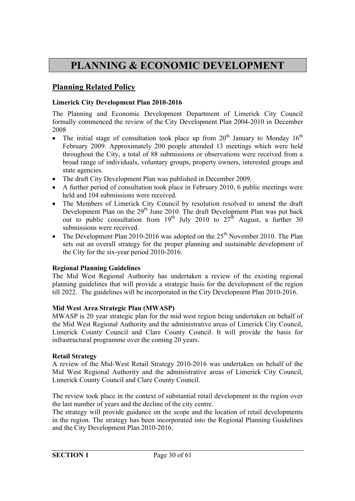## **PLANNING & ECONOMIC DEVELOPMENT**

#### **Planning Related Policy**

#### **Limerick City Development Plan 2010-2016**

The Planning and Economic Development Department of Limerick City Council formally commenced the review of the City Development Plan 2004-2010 in December 2008

- The initial stage of consultation took place up from  $20<sup>th</sup>$  January to Monday  $16<sup>th</sup>$ February 2009. Approximately 200 people attended 13 meetings which were held throughout the City, a total of 88 submissions or observations were received from a broad range of individuals, voluntary groups, property owners, interested groups and state agencies.
- The draft City Development Plan was published in December 2009.
- A further period of consultation took place in February 2010, 6 public meetings were held and 104 submissions were received.
- The Members of Limerick City Council by resolution resolved to amend the draft Development Plan on the  $29<sup>th</sup>$  June 2010. The draft Development Plan was put back out to public consultation from  $19^{th}$  July 2010 to  $27^{th}$  August, a further 30 submissions were received.
- The Development Plan 2010-2016 was adopted on the  $25<sup>th</sup>$  November 2010. The Plan sets out an overall strategy for the proper planning and sustainable development of the City for the six-year period 2010-2016.

#### **Regional Planning Guidelines**

The Mid West Regional Authority has undertaken a review of the existing regional planning guidelines that will provide a strategic basis for the development of the region till 2022. The guidelines will be incorporated in the City Development Plan 2010-2016.

#### **Mid West Area Strategic Plan (MWASP)**

MWASP is 20 year strategic plan for the mid west region being undertaken on behalf of the Mid West Regional Authority and the administrative areas of Limerick City Council, Limerick County Council and Clare County Council. It will provide the basis for infrastructural programme over the coming 20 years.

#### **Retail Strategy**

A review of the Mid-West Retail Strategy 2010-2016 was undertaken on behalf of the Mid West Regional Authority and the administrative areas of Limerick City Council, Limerick County Council and Clare County Council.

The review took place in the context of substantial retail development in the region over the last number of years and the decline of the city centre.

The strategy will provide guidance on the scope and the location of retail developments in the region. The strategy has been incorporated into the Regional Planning Guidelines and the City Development Plan 2010-2016.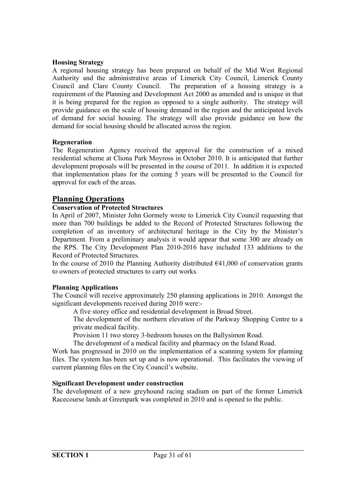#### **Housing Strategy**

A regional housing strategy has been prepared on behalf of the Mid West Regional Authority and the administrative areas of Limerick City Council, Limerick County Council and Clare County Council. The preparation of a housing strategy is a requirement of the Planning and Development Act 2000 as amended and is unique in that it is being prepared for the region as opposed to a single authority. The strategy will provide guidance on the scale of housing demand in the region and the anticipated levels of demand for social housing. The strategy will also provide guidance on how the demand for social housing should be allocated across the region.

#### **Regeneration**

The Regeneration Agency received the approval for the construction of a mixed residential scheme at Cliona Park Moyross in October 2010. It is anticipated that further development proposals will be presented in the course of 2011. In addition it is expected that implementation plans for the coming 5 years will be presented to the Council for approval for each of the areas.

#### **Planning Operations**

#### **Conservation of Protected Structures**

In April of 2007, Minister John Gormely wrote to Limerick City Council requesting that more than 700 buildings be added to the Record of Protected Structures following the completion of an inventory of architectural heritage in the City by the Minister's Department. From a preliminary analysis it would appear that some 300 are already on the RPS. The City Development Plan 2010-2016 have included 133 additions to the Record of Protected Structures.

In the course of 2010 the Planning Authority distributed  $641,000$  of conservation grants to owners of protected structures to carry out works.

#### **Planning Applications**

The Council will receive approximately 250 planning applications in 2010. Amongst the significant developments received during 2010 were:-

A five storey office and residential development in Broad Street.

The development of the northern elevation of the Parkway Shopping Centre to a private medical facility.

Provision 11 two storey 3-bedroom houses on the Ballysimon Road.

The development of a medical facility and pharmacy on the Island Road.

Work has progressed in 2010 on the implementation of a scanning system for planning files. The system has been set up and is now operational. This facilitates the viewing of current planning files on the City Council's website.

#### **Significant Development under construction**

The development of a new greyhound racing stadium on part of the former Limerick Racecourse lands at Greenpark was completed in 2010 and is opened to the public.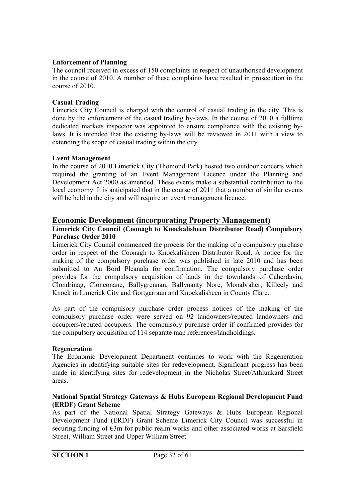#### **Enforcement of Planning**

The council received in excess of 150 complaints in respect of unauthorised development in the course of 2010. A number of these complaints have resulted in prosecution in the course of 2010.

#### **Casual Trading**

Limerick City Council is charged with the control of casual trading in the city. This is done by the enforcement of the casual trading by-laws. In the course of 2010 a fulltime dedicated markets inspector was appointed to ensure compliance with the existing bylaws. It is intended that the existing by-laws will be reviewed in 2011 with a view to extending the scope of casual trading within the city.

#### **Event Management**

In the course of 2010 Limerick City (Thomond Park) hosted two outdoor concerts which required the granting of an Event Management Licence under the Planning and Development Act 2000 as amended. These events make a substantial contribution to the local economy. It is anticipated that in the course of 2011 that a number of similar events will be held in the city and will require an event management licence.

#### **Economic Development (incorporating Property Management)**

#### **Limerick City Council (Coonagh to Knockalisheen Distributor Road) Compulsory Purchase Order 2010**

Limerick City Council commenced the process for the making of a compulsory purchase order in respect of the Coonagh to Knockalisheen Distributor Road. A notice for the making of the compulsory purchase order was published in late 2010 and has been submitted to An Bord Pleanala for confirmation. The compulsory purchase order provides for the compulsory acquisition of lands in the townlands of Caherdavin, Clondrinag, Clonconane, Ballygrennan, Ballynanty Nore, Monabraher, Killeely and Knock in Limerick City and Gortgarraun and Knockalisheen in County Clare.

As part of the compulsory purchase order process notices of the making of the compulsory purchase order were served on 92 landowners/reputed landowners and occupiers/reputed occupiers. The compulsory purchase order if confirmed provides for the compulsory acquisition of 114 separate map references/landholdings.

#### **Regeneration**

The Economic Development Department continues to work with the Regeneration Agencies in identifying suitable sites for redevelopment. Significant progress has been made in identifying sites for redevelopment in the Nicholas Street/Athlunkard Street areas.

#### **National Spatial Strategy Gateways & Hubs European Regional Development Fund (ERDF) Grant Scheme**

As part of the National Spatial Strategy Gateways & Hubs European Regional Development Fund (ERDF) Grant Scheme Limerick City Council was successful in securing funding of €3m for public realm works and other associated works at Sarsfield Street, William Street and Upper William Street.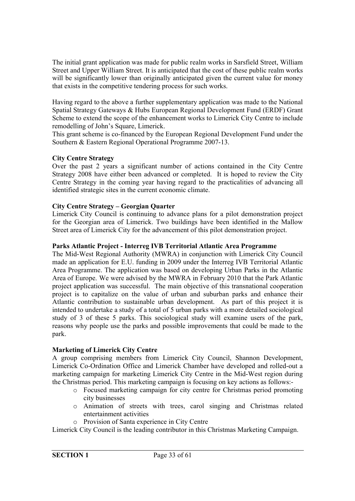The initial grant application was made for public realm works in Sarsfield Street, William Street and Upper William Street. It is anticipated that the cost of these public realm works will be significantly lower than originally anticipated given the current value for money that exists in the competitive tendering process for such works.

Having regard to the above a further supplementary application was made to the National Spatial Strategy Gateways & Hubs European Regional Development Fund (ERDF) Grant Scheme to extend the scope of the enhancement works to Limerick City Centre to include remodelling of John's Square, Limerick.

This grant scheme is co-financed by the European Regional Development Fund under the Southern & Eastern Regional Operational Programme 2007-13.

#### **City Centre Strategy**

Over the past 2 years a significant number of actions contained in the City Centre Strategy 2008 have either been advanced or completed. It is hoped to review the City Centre Strategy in the coming year having regard to the practicalities of advancing all identified strategic sites in the current economic climate.

#### **City Centre Strategy – Georgian Quarter**

Limerick City Council is continuing to advance plans for a pilot demonstration project for the Georgian area of Limerick. Two buildings have been identified in the Mallow Street area of Limerick City for the advancement of this pilot demonstration project.

#### **Parks Atlantic Project - Interreg IVB Territorial Atlantic Area Programme**

The Mid-West Regional Authority (MWRA) in conjunction with Limerick City Council made an application for E.U. funding in 2009 under the Interreg IVB Territorial Atlantic Area Programme. The application was based on developing Urban Parks in the Atlantic Area of Europe. We were advised by the MWRA in February 2010 that the Park Atlantic project application was successful. The main objective of this transnational cooperation project is to capitalize on the value of urban and suburban parks and enhance their Atlantic contribution to sustainable urban development. As part of this project it is intended to undertake a study of a total of 5 urban parks with a more detailed sociological study of 3 of these 5 parks. This sociological study will examine users of the park, reasons why people use the parks and possible improvements that could be made to the park.

#### **Marketing of Limerick City Centre**

A group comprising members from Limerick City Council, Shannon Development, Limerick Co-Ordination Office and Limerick Chamber have developed and rolled-out a marketing campaign for marketing Limerick City Centre in the Mid-West region during the Christmas period. This marketing campaign is focusing on key actions as follows:-

- o Focused marketing campaign for city centre for Christmas period promoting city businesses
- o Animation of streets with trees, carol singing and Christmas related entertainment activities
- o Provision of Santa experience in City Centre

Limerick City Council is the leading contributor in this Christmas Marketing Campaign.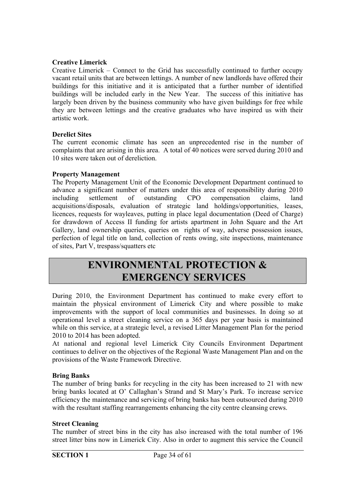#### **Creative Limerick**

Creative Limerick – Connect to the Grid has successfully continued to further occupy vacant retail units that are between lettings. A number of new landlords have offered their buildings for this initiative and it is anticipated that a further number of identified buildings will be included early in the New Year. The success of this initiative has largely been driven by the business community who have given buildings for free while they are between lettings and the creative graduates who have inspired us with their artistic work.

#### **Derelict Sites**

The current economic climate has seen an unprecedented rise in the number of complaints that are arising in this area. A total of 40 notices were served during 2010 and 10 sites were taken out of dereliction.

#### **Property Management**

The Property Management Unit of the Economic Development Department continued to advance a significant number of matters under this area of responsibility during 2010 including settlement of outstanding CPO compensation claims, land acquisitions/disposals, evaluation of strategic land holdings/opportunities, leases, licences, requests for wayleaves, putting in place legal documentation (Deed of Charge) for drawdown of Access II funding for artists apartment in John Square and the Art Gallery, land ownership queries, queries on rights of way, adverse possession issues, perfection of legal title on land, collection of rents owing, site inspections, maintenance of sites, Part V, trespass/squatters etc

## **ENVIRONMENTAL PROTECTION & EMERGENCY SERVICES**

During 2010, the Environment Department has continued to make every effort to maintain the physical environment of Limerick City and where possible to make improvements with the support of local communities and businesses. In doing so at operational level a street cleaning service on a 365 days per year basis is maintained while on this service, at a strategic level, a revised Litter Management Plan for the period 2010 to 2014 has been adopted.

At national and regional level Limerick City Councils Environment Department continues to deliver on the objectives of the Regional Waste Management Plan and on the provisions of the Waste Framework Directive.

#### **Bring Banks**

The number of bring banks for recycling in the city has been increased to 21 with new bring banks located at O' Callaghan's Strand and St Mary's Park. To increase service efficiency the maintenance and servicing of bring banks has been outsourced during 2010 with the resultant staffing rearrangements enhancing the city centre cleansing crews.

#### **Street Cleaning**

The number of street bins in the city has also increased with the total number of 196 street litter bins now in Limerick City. Also in order to augment this service the Council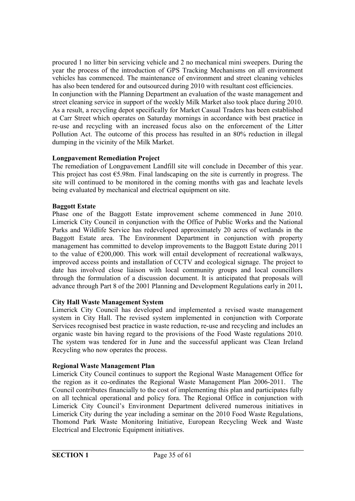procured 1 no litter bin servicing vehicle and 2 no mechanical mini sweepers. During the year the process of the introduction of GPS Tracking Mechanisms on all environment vehicles has commenced. The maintenance of environment and street cleaning vehicles has also been tendered for and outsourced during 2010 with resultant cost efficiencies. In conjunction with the Planning Department an evaluation of the waste management and street cleaning service in support of the weekly Milk Market also took place during 2010. As a result, a recycling depot specifically for Market Casual Traders has been established at Carr Street which operates on Saturday mornings in accordance with best practice in re-use and recycling with an increased focus also on the enforcement of the Litter Pollution Act. The outcome of this process has resulted in an 80% reduction in illegal dumping in the vicinity of the Milk Market.

#### **Longpavement Remediation Project**

The remediation of Longpavement Landfill site will conclude in December of this year. This project has cost  $\epsilon$ 5.98m. Final landscaping on the site is currently in progress. The site will continued to be monitored in the coming months with gas and leachate levels being evaluated by mechanical and electrical equipment on site.

#### **Baggott Estate**

Phase one of the Baggott Estate improvement scheme commenced in June 2010. Limerick City Council in conjunction with the Office of Public Works and the National Parks and Wildlife Service has redeveloped approximately 20 acres of wetlands in the Baggott Estate area. The Environment Department in conjunction with property management has committed to develop improvements to the Baggott Estate during 2011 to the value of  $\epsilon$ 200,000. This work will entail development of recreational walkways, improved access points and installation of CCTV and ecological signage. The project to date has involved close liaison with local community groups and local councillors through the formulation of a discussion document. It is anticipated that proposals will advance through Part 8 of the 2001 Planning and Development Regulations early in 2011*.*

#### **City Hall Waste Management System**

Limerick City Council has developed and implemented a revised waste management system in City Hall. The revised system implemented in conjunction with Corporate Services recognised best practice in waste reduction, re-use and recycling and includes an organic waste bin having regard to the provisions of the Food Waste regulations 2010. The system was tendered for in June and the successful applicant was Clean Ireland Recycling who now operates the process.

#### **Regional Waste Management Plan**

Limerick City Council continues to support the Regional Waste Management Office for the region as it co-ordinates the Regional Waste Management Plan 2006-2011. The Council contributes financially to the cost of implementing this plan and participates fully on all technical operational and policy fora. The Regional Office in conjunction with Limerick City Council's Environment Department delivered numerous initiatives in Limerick City during the year including a seminar on the 2010 Food Waste Regulations, Thomond Park Waste Monitoring Initiative, European Recycling Week and Waste Electrical and Electronic Equipment initiatives.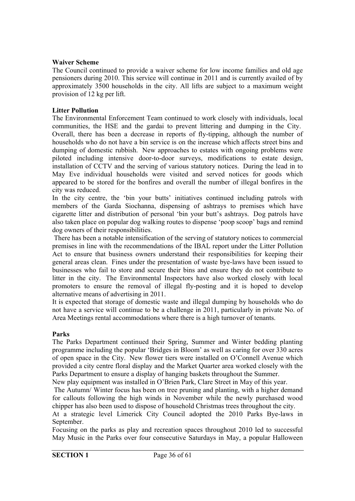#### **Waiver Scheme**

The Council continued to provide a waiver scheme for low income families and old age pensioners during 2010. This service will continue in 2011 and is currently availed of by approximately 3500 households in the city. All lifts are subject to a maximum weight provision of 12 kg per lift.

#### **Litter Pollution**

The Environmental Enforcement Team continued to work closely with individuals, local communities, the HSE and the gardai to prevent littering and dumping in the City. Overall, there has been a decrease in reports of fly-tipping, although the number of households who do not have a bin service is on the increase which affects street bins and dumping of domestic rubbish. New approaches to estates with ongoing problems were piloted including intensive door-to-door surveys, modifications to estate design, installation of CCTV and the serving of various statutory notices. During the lead in to May Eve individual households were visited and served notices for goods which appeared to be stored for the bonfires and overall the number of illegal bonfires in the city was reduced.

In the city centre, the 'bin your butts' initiatives continued including patrols with members of the Garda Siochanna, dispensing of ashtrays to premises which have cigarette litter and distribution of personal 'bin your butt's ashtrays. Dog patrols have also taken place on popular dog walking routes to dispense 'poop scoop' bags and remind dog owners of their responsibilities.

 There has been a notable intensification of the serving of statutory notices to commercial premises in line with the recommendations of the IBAL report under the Litter Pollution Act to ensure that business owners understand their responsibilities for keeping their general areas clean. Fines under the presentation of waste bye-laws have been issued to businesses who fail to store and secure their bins and ensure they do not contribute to litter in the city. The Environmental Inspectors have also worked closely with local promoters to ensure the removal of illegal fly-posting and it is hoped to develop alternative means of advertising in 2011.

It is expected that storage of domestic waste and illegal dumping by households who do not have a service will continue to be a challenge in 2011, particularly in private No. of Area Meetings rental accommodations where there is a high turnover of tenants.

#### **Parks**

The Parks Department continued their Spring, Summer and Winter bedding planting programme including the popular 'Bridges in Bloom' as well as caring for over 330 acres of open space in the City. New flower tiers were installed on O'Connell Avenue which provided a city centre floral display and the Market Quarter area worked closely with the Parks Department to ensure a display of hanging baskets throughout the Summer.

New play equipment was installed in O'Brien Park, Clare Street in May of this year.

 The Autumn/ Winter focus has been on tree pruning and planting, with a higher demand for callouts following the high winds in November while the newly purchased wood chipper has also been used to dispose of household Christmas trees throughout the city. At a strategic level Limerick City Council adopted the 2010 Parks Bye-laws in

September.

Focusing on the parks as play and recreation spaces throughout 2010 led to successful May Music in the Parks over four consecutive Saturdays in May, a popular Halloween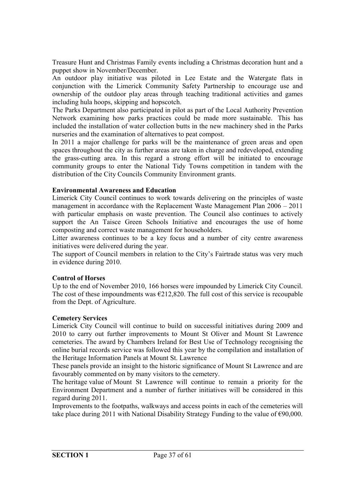Treasure Hunt and Christmas Family events including a Christmas decoration hunt and a puppet show in November/December.

An outdoor play initiative was piloted in Lee Estate and the Watergate flats in conjunction with the Limerick Community Safety Partnership to encourage use and ownership of the outdoor play areas through teaching traditional activities and games including hula hoops, skipping and hopscotch.

The Parks Department also participated in pilot as part of the Local Authority Prevention Network examining how parks practices could be made more sustainable. This has included the installation of water collection butts in the new machinery shed in the Parks nurseries and the examination of alternatives to peat compost.

In 2011 a major challenge for parks will be the maintenance of green areas and open spaces throughout the city as further areas are taken in charge and redeveloped, extending the grass-cutting area. In this regard a strong effort will be initiated to encourage community groups to enter the National Tidy Towns competition in tandem with the distribution of the City Councils Community Environment grants.

#### **Environmental Awareness and Education**

Limerick City Council continues to work towards delivering on the principles of waste management in accordance with the Replacement Waste Management Plan 2006 – 2011 with particular emphasis on waste prevention. The Council also continues to actively support the An Taisce Green Schools Initiative and encourages the use of home composting and correct waste management for householders.

Litter awareness continues to be a key focus and a number of city centre awareness initiatives were delivered during the year.

The support of Council members in relation to the City's Fairtrade status was very much in evidence during 2010.

#### **Control of Horses**

Up to the end of November 2010, 166 horses were impounded by Limerick City Council. The cost of these impoundments was  $\epsilon$ 212,820. The full cost of this service is recoupable from the Dept. of Agriculture.

#### **Cemetery Services**

Limerick City Council will continue to build on successful initiatives during 2009 and 2010 to carry out further improvements to Mount St Oliver and Mount St Lawrence cemeteries. The award by Chambers Ireland for Best Use of Technology recognising the online burial records service was followed this year by the compilation and installation of the Heritage Information Panels at Mount St. Lawrence

These panels provide an insight to the historic significance of Mount St Lawrence and are favourably commented on by many visitors to the cemetery.

The heritage value of Mount St Lawrence will continue to remain a priority for the Environment Department and a number of further initiatives will be considered in this regard during 2011.

Improvements to the footpaths, walkways and access points in each of the cemeteries will take place during 2011 with National Disability Strategy Funding to the value of €90,000.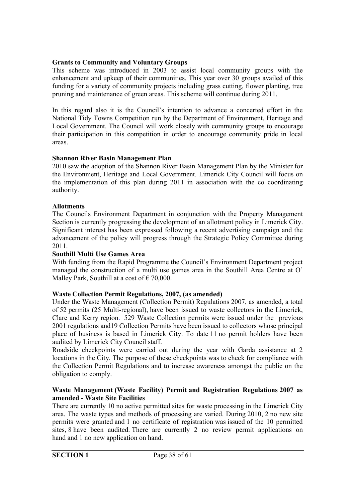#### **Grants to Community and Voluntary Groups**

This scheme was introduced in 2003 to assist local community groups with the enhancement and upkeep of their communities. This year over 30 groups availed of this funding for a variety of community projects including grass cutting, flower planting, tree pruning and maintenance of green areas. This scheme will continue during 2011.

In this regard also it is the Council's intention to advance a concerted effort in the National Tidy Towns Competition run by the Department of Environment, Heritage and Local Government. The Council will work closely with community groups to encourage their participation in this competition in order to encourage community pride in local areas.

#### **Shannon River Basin Management Plan**

2010 saw the adoption of the Shannon River Basin Management Plan by the Minister for the Environment, Heritage and Local Government. Limerick City Council will focus on the implementation of this plan during 2011 in association with the co coordinating authority.

#### **Allotments**

The Councils Environment Department in conjunction with the Property Management Section is currently progressing the development of an allotment policy in Limerick City. Significant interest has been expressed following a recent advertising campaign and the advancement of the policy will progress through the Strategic Policy Committee during 2011.

#### **Southill Multi Use Games Area**

With funding from the Rapid Programme the Council's Environment Department project managed the construction of a multi use games area in the Southill Area Centre at O' Malley Park, Southill at a cost of  $\epsilon$  70,000.

#### **Waste Collection Permit Regulations, 2007, (as amended)**

Under the Waste Management (Collection Permit) Regulations 2007, as amended, a total of 52 permits (25 Multi-regional), have been issued to waste collectors in the Limerick, Clare and Kerry region. 529 Waste Collection permits were issued under the previous 2001 regulations and19 Collection Permits have been issued to collectors whose principal place of business is based in Limerick City. To date 11 no permit holders have been audited by Limerick City Council staff.

Roadside checkpoints were carried out during the year with Garda assistance at 2 locations in the City. The purpose of these checkpoints was to check for compliance with the Collection Permit Regulations and to increase awareness amongst the public on the obligation to comply.

#### **Waste Management (Waste Facility) Permit and Registration Regulations 2007 as amended - Waste Site Facilities**

There are currently 10 no active permitted sites for waste processing in the Limerick City area. The waste types and methods of processing are varied. During 2010, 2 no new site permits were granted and 1 no certificate of registration was issued of the 10 permitted sites, 8 have been audited. There are currently 2 no review permit applications on hand and 1 no new application on hand.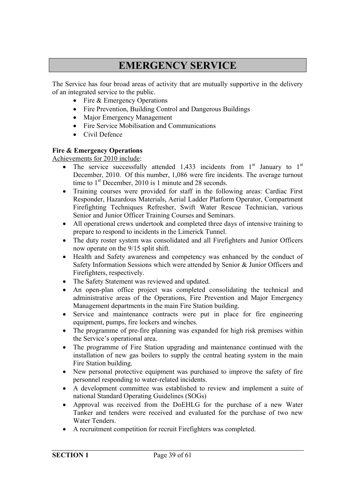## **EMERGENCY SERVICE**

The Service has four broad areas of activity that are mutually supportive in the delivery of an integrated service to the public.

- Fire & Emergency Operations
- Fire Prevention, Building Control and Dangerous Buildings
- Major Emergency Management
- Fire Service Mobilisation and Communications
- Civil Defence

#### **Fire & Emergency Operations**

Achievements for 2010 include:

- The service successfully attended 1,433 incidents from  $1<sup>st</sup>$  January to  $1<sup>st</sup>$ December, 2010. Of this number, 1,086 were fire incidents. The average turnout time to  $1<sup>st</sup>$  December, 2010 is 1 minute and 28 seconds.
- Training courses were provided for staff in the following areas: Cardiac First Responder, Hazardous Materials, Aerial Ladder Platform Operator, Compartment Firefighting Techniques Refresher, Swift Water Rescue Technician, various Senior and Junior Officer Training Courses and Seminars.
- All operational crews undertook and completed three days of intensive training to prepare to respond to incidents in the Limerick Tunnel.
- The duty roster system was consolidated and all Firefighters and Junior Officers now operate on the 9/15 split shift.
- Health and Safety awareness and competency was enhanced by the conduct of Safety Information Sessions which were attended by Senior & Junior Officers and Firefighters, respectively.
- The Safety Statement was reviewed and updated.
- An open-plan office project was completed consolidating the technical and administrative areas of the Operations, Fire Prevention and Major Emergency Management departments in the main Fire Station building.
- Service and maintenance contracts were put in place for fire engineering equipment, pumps, fire lockers and winches.
- The programme of pre-fire planning was expanded for high risk premises within the Service's operational area.
- The programme of Fire Station upgrading and maintenance continued with the installation of new gas boilers to supply the central heating system in the main Fire Station building.
- New personal protective equipment was purchased to improve the safety of fire personnel responding to water-related incidents.
- A development committee was established to review and implement a suite of national Standard Operating Guidelines (SOGs)
- Approval was received from the DoEHLG for the purchase of a new Water Tanker and tenders were received and evaluated for the purchase of two new Water Tenders.
- A recruitment competition for recruit Firefighters was completed.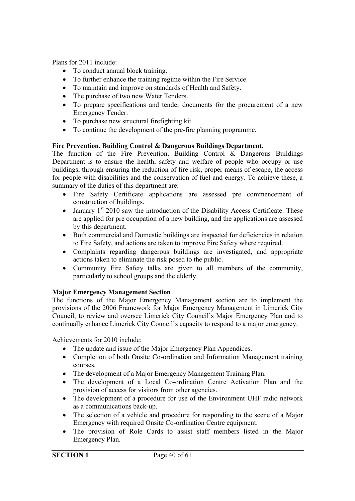Plans for 2011 include:

- To conduct annual block training.
- To further enhance the training regime within the Fire Service.
- To maintain and improve on standards of Health and Safety.
- The purchase of two new Water Tenders.
- To prepare specifications and tender documents for the procurement of a new Emergency Tender.
- To purchase new structural firefighting kit.
- To continue the development of the pre-fire planning programme.

#### **Fire Prevention, Building Control & Dangerous Buildings Department.**

The function of the Fire Prevention, Building Control  $\&$  Dangerous Buildings Department is to ensure the health, safety and welfare of people who occupy or use buildings, through ensuring the reduction of fire risk, proper means of escape, the access for people with disabilities and the conservation of fuel and energy. To achieve these, a summary of the duties of this department are:

- Fire Safety Certificate applications are assessed pre commencement of construction of buildings.
- January  $1<sup>st</sup>$  2010 saw the introduction of the Disability Access Certificate. These are applied for pre occupation of a new building, and the applications are assessed by this department.
- Both commercial and Domestic buildings are inspected for deficiencies in relation to Fire Safety, and actions are taken to improve Fire Safety where required.
- Complaints regarding dangerous buildings are investigated, and appropriate actions taken to eliminate the risk posed to the public.
- Community Fire Safety talks are given to all members of the community, particularly to school groups and the elderly.

#### **Major Emergency Management Section**

The functions of the Major Emergency Management section are to implement the provisions of the 2006 Framework for Major Emergency Management in Limerick City Council, to review and oversee Limerick City Council's Major Emergency Plan and to continually enhance Limerick City Council's capacity to respond to a major emergency.

Achievements for 2010 include:

- The update and issue of the Major Emergency Plan Appendices.
- Completion of both Onsite Co-ordination and Information Management training courses.
- The development of a Major Emergency Management Training Plan.
- The development of a Local Co-ordination Centre Activation Plan and the provision of access for visitors from other agencies.
- The development of a procedure for use of the Environment UHF radio network as a communications back-up.
- The selection of a vehicle and procedure for responding to the scene of a Major Emergency with required Onsite Co-ordination Centre equipment.
- The provision of Role Cards to assist staff members listed in the Major Emergency Plan.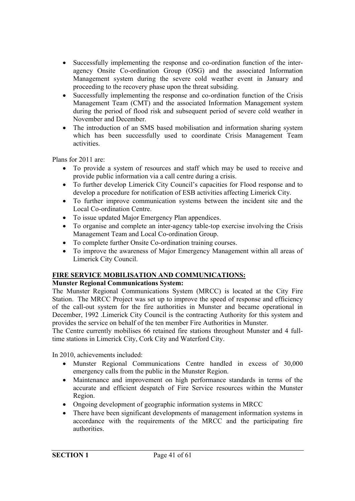- Successfully implementing the response and co-ordination function of the interagency Onsite Co-ordination Group (OSG) and the associated Information Management system during the severe cold weather event in January and proceeding to the recovery phase upon the threat subsiding.
- Successfully implementing the response and co-ordination function of the Crisis Management Team (CMT) and the associated Information Management system during the period of flood risk and subsequent period of severe cold weather in November and December.
- The introduction of an SMS based mobilisation and information sharing system which has been successfully used to coordinate Crisis Management Team activities.

Plans for 2011 are:

- To provide a system of resources and staff which may be used to receive and provide public information via a call centre during a crisis.
- To further develop Limerick City Council's capacities for Flood response and to develop a procedure for notification of ESB activities affecting Limerick City.
- To further improve communication systems between the incident site and the Local Co-ordination Centre.
- To issue updated Major Emergency Plan appendices.
- To organise and complete an inter-agency table-top exercise involving the Crisis Management Team and Local Co-ordination Group.
- To complete further Onsite Co-ordination training courses.
- To improve the awareness of Major Emergency Management within all areas of Limerick City Council.

#### **FIRE SERVICE MOBILISATION AND COMMUNICATIONS:**

#### **Munster Regional Communications System:**

The Munster Regional Communications System (MRCC) is located at the City Fire Station. The MRCC Project was set up to improve the speed of response and efficiency of the call-out system for the fire authorities in Munster and became operational in December, 1992 .Limerick City Council is the contracting Authority for this system and provides the service on behalf of the ten member Fire Authorities in Munster.

The Centre currently mobilises 66 retained fire stations throughout Munster and 4 fulltime stations in Limerick City, Cork City and Waterford City.

In 2010, achievements included:

- Munster Regional Communications Centre handled in excess of 30,000 emergency calls from the public in the Munster Region.
- Maintenance and improvement on high performance standards in terms of the accurate and efficient despatch of Fire Service resources within the Munster Region.
- Ongoing development of geographic information systems in MRCC
- There have been significant developments of management information systems in accordance with the requirements of the MRCC and the participating fire authorities.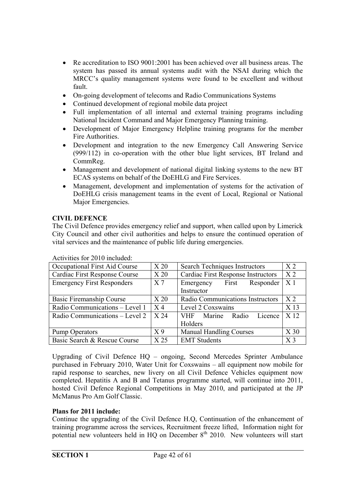- Re accreditation to ISO 9001:2001 has been achieved over all business areas. The system has passed its annual systems audit with the NSAI during which the MRCC's quality management systems were found to be excellent and without fault.
- On-going development of telecoms and Radio Communications Systems
- Continued development of regional mobile data project
- Full implementation of all internal and external training programs including National Incident Command and Major Emergency Planning training.
- Development of Major Emergency Helpline training programs for the member Fire Authorities.
- Development and integration to the new Emergency Call Answering Service (999/112) in co-operation with the other blue light services, BT Ireland and CommReg.
- Management and development of national digital linking systems to the new BT ECAS systems on behalf of the DoEHLG and Fire Services.
- Management, development and implementation of systems for the activation of DoEHLG crisis management teams in the event of Local, Regional or National Major Emergencies.

#### **CIVIL DEFENCE**

The Civil Defence provides emergency relief and support, when called upon by Limerick City Council and other civil authorities and helps to ensure the continued operation of vital services and the maintenance of public life during emergencies.

| Occupational First Aid Course     | X <sub>20</sub> | Search Techniques Instructors            | X <sub>2</sub>  |
|-----------------------------------|-----------------|------------------------------------------|-----------------|
| Cardiac First Response Course     | X <sub>20</sub> | Cardiac First Response Instructors       |                 |
| <b>Emergency First Responders</b> | X <sub>7</sub>  | First<br>Responder<br>Emergency          | X <sub>1</sub>  |
|                                   |                 | Instructor                               |                 |
| Basic Firemanship Course          | X <sub>20</sub> | Radio Communications Instructors         | X <sub>2</sub>  |
| Radio Communications - Level 1    | $X_4$           | Level 2 Coxswains                        | X <sub>13</sub> |
| Radio Communications – Level 2    | X 24            | <b>VHF</b><br>Marine<br>Radio<br>Licence | X <sub>12</sub> |
|                                   |                 | Holders                                  |                 |
| <b>Pump Operators</b>             | X <sub>9</sub>  | <b>Manual Handling Courses</b>           | X <sub>30</sub> |
| Basic Search & Rescue Course      | X <sub>25</sub> | <b>EMT</b> Students                      | X <sub>3</sub>  |

Activities for 2010 included:

Upgrading of Civil Defence HQ – ongoing, Second Mercedes Sprinter Ambulance purchased in February 2010, Water Unit for Coxswains – all equipment now mobile for rapid response to searches, new livery on all Civil Defence Vehicles equipment now completed. Hepatitis A and B and Tetanus programme started, will continue into 2011, hosted Civil Defence Regional Competitions in May 2010, and participated at the JP McManus Pro Am Golf Classic.

#### **Plans for 2011 include:**

Continue the upgrading of the Civil Defence H.Q, Continuation of the enhancement of training programme across the services, Recruitment freeze lifted, Information night for potential new volunteers held in  $HQ$  on December  $8<sup>th</sup>$  2010. New volunteers will start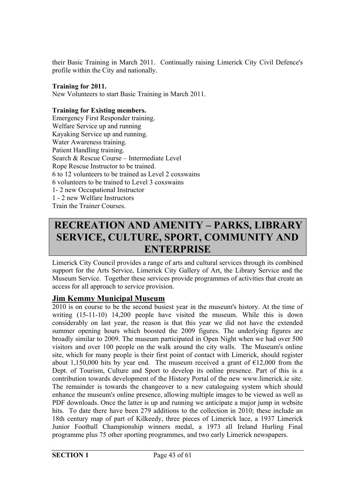their Basic Training in March 2011. Continually raising Limerick City Civil Defence's profile within the City and nationally.

#### **Training for 2011.**

New Volunteers to start Basic Training in March 2011.

#### **Training for Existing members.**

Emergency First Responder training. Welfare Service up and running Kayaking Service up and running. Water Awareness training. Patient Handling training. Search & Rescue Course – Intermediate Level Rope Rescue Instructor to be trained. 6 to 12 volunteers to be trained as Level 2 coxswains 6 volunteers to be trained to Level 3 coxswains 1- 2 new Occupational Instructor 1 - 2 new Welfare Instructors Train the Trainer Courses.

## **RECREATION AND AMENITY – PARKS, LIBRARY SERVICE, CULTURE, SPORT, COMMUNITY AND ENTERPRISE**

Limerick City Council provides a range of arts and cultural services through its combined support for the Arts Service, Limerick City Gallery of Art, the Library Service and the Museum Service. Together these services provide programmes of activities that create an access for all approach to service provision.

#### **Jim Kemmy Municipal Museum**

2010 is on course to be the second busiest year in the museum's history. At the time of writing (15-11-10) 14,200 people have visited the museum. While this is down considerably on last year, the reason is that this year we did not have the extended summer opening hours which boosted the 2009 figures. The underlying figures are broadly similar to 2009. The museum participated in Open Night when we had over 500 visitors and over 100 people on the walk around the city walls. The Museum's online site, which for many people is their first point of contact with Limerick, should register about 1,150,000 hits by year end. The museum received a grant of  $\epsilon$ 12,000 from the Dept. of Tourism, Culture and Sport to develop its online presence. Part of this is a contribution towards development of the History Portal of the new www.limerick.ie site. The remainder is towards the changeover to a new cataloguing system which should enhance the museum's online presence, allowing multiple images to be viewed as well as PDF downloads. Once the latter is up and running we anticipate a major jump in website hits. To date there have been 279 additions to the collection in 2010; these include an 18th century map of part of Kilkeedy, three pieces of Limerick lace, a 1937 Limerick Junior Football Championship winners medal, a 1973 all Ireland Hurling Final programme plus 75 other sporting programmes, and two early Limerick newspapers.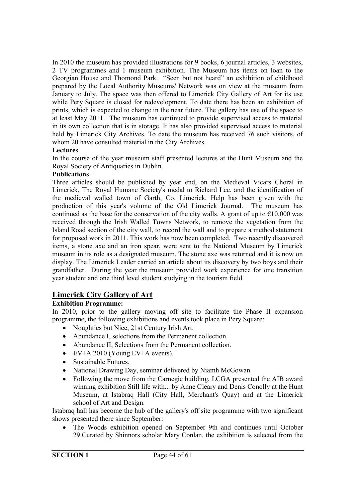In 2010 the museum has provided illustrations for 9 books, 6 journal articles, 3 websites, 2 TV programmes and 1 museum exhibition. The Museum has items on loan to the Georgian House and Thomond Park. "Seen but not heard" an exhibition of childhood prepared by the Local Authority Museums' Network was on view at the museum from January to July. The space was then offered to Limerick City Gallery of Art for its use while Pery Square is closed for redevelopment. To date there has been an exhibition of prints, which is expected to change in the near future. The gallery has use of the space to at least May 2011. The museum has continued to provide supervised access to material in its own collection that is in storage. It has also provided supervised access to material held by Limerick City Archives. To date the museum has received 76 such visitors, of whom 20 have consulted material in the City Archives.

#### **Lectures**

In the course of the year museum staff presented lectures at the Hunt Museum and the Royal Society of Antiquaries in Dublin.

#### **Publications**

Three articles should be published by year end, on the Medieval Vicars Choral in Limerick, The Royal Humane Society's medal to Richard Lee, and the identification of the medieval walled town of Garth, Co. Limerick. Help has been given with the production of this year's volume of the Old Limerick Journal. The museum has continued as the base for the conservation of the city walls. A grant of up to  $\epsilon$ 10,000 was received through the Irish Walled Towns Network, to remove the vegetation from the Island Road section of the city wall, to record the wall and to prepare a method statement for proposed work in 2011. This work has now been completed. Two recently discovered items, a stone axe and an iron spear, were sent to the National Museum by Limerick museum in its role as a designated museum. The stone axe was returned and it is now on display. The Limerick Leader carried an article about its discovery by two boys and their grandfather. During the year the museum provided work experience for one transition year student and one third level student studying in the tourism field.

#### **Limerick City Gallery of Art**

#### **Exhibition Programme:**

In 2010, prior to the gallery moving off site to facilitate the Phase II expansion programme, the following exhibitions and events took place in Pery Square:

- Noughties but Nice, 21st Century Irish Art.
- Abundance I, selections from the Permanent collection.
- Abundance II, Selections from the Permanent collection.
- $\bullet$  EV+A 2010 (Young EV+A events).
- Sustainable Futures.
- National Drawing Day, seminar delivered by Niamh McGowan.
- Following the move from the Carnegie building, LCGA presented the AIB award winning exhibition Still life with... by Anne Cleary and Denis Conolly at the Hunt Museum, at Istabraq Hall (City Hall, Merchant's Quay) and at the Limerick school of Art and Design.

Istabraq hall has become the hub of the gallery's off site programme with two significant shows presented there since September:

 The Woods exhibition opened on September 9th and continues until October 29.Curated by Shinnors scholar Mary Conlan, the exhibition is selected from the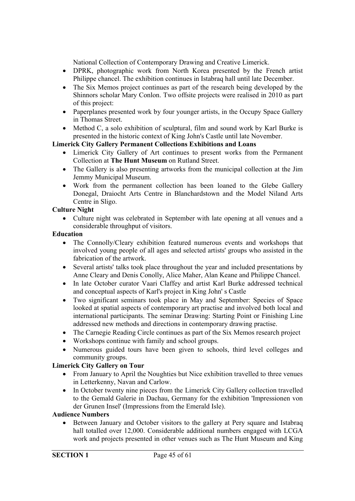National Collection of Contemporary Drawing and Creative Limerick.

- DPRK, photographic work from North Korea presented by the French artist Philippe chancel. The exhibition continues in Istabraq hall until late December.
- The Six Memos project continues as part of the research being developed by the Shinnors scholar Mary Conlon. Two offsite projects were realised in 2010 as part of this project:
- Paperplanes presented work by four younger artists, in the Occupy Space Gallery in Thomas Street.
- Method C, a solo exhibition of sculptural, film and sound work by Karl Burke is presented in the historic context of King John's Castle until late November.

#### **Limerick City Gallery Permanent Collections Exhibitions and Loans**

- Limerick City Gallery of Art continues to present works from the Permanent Collection at **The Hunt Museum** on Rutland Street.
- The Gallery is also presenting artworks from the municipal collection at the Jim Jemmy Municipal Museum.
- Work from the permanent collection has been loaned to the Glebe Gallery Donegal, Draiocht Arts Centre in Blanchardstown and the Model Niland Arts Centre in Sligo.

#### **Culture Night**

 Culture night was celebrated in September with late opening at all venues and a considerable throughput of visitors.

#### **Education**

- The Connolly/Cleary exhibition featured numerous events and workshops that involved young people of all ages and selected artists' groups who assisted in the fabrication of the artwork.
- Several artists' talks took place throughout the year and included presentations by Anne Cleary and Denis Conolly, Alice Maher, Alan Keane and Philippe Chancel.
- In late October curator Vaari Claffey and artist Karl Burke addressed technical and conceptual aspects of Karl's project in King John' s Castle
- Two significant seminars took place in May and September: Species of Space looked at spatial aspects of contemporary art practise and involved both local and international participants. The seminar Drawing: Starting Point or Finishing Line addressed new methods and directions in contemporary drawing practise.
- The Carnegie Reading Circle continues as part of the Six Memos research project
- Workshops continue with family and school groups.
- Numerous guided tours have been given to schools, third level colleges and community groups.

#### **Limerick City Gallery on Tour**

- From January to April the Noughties but Nice exhibition travelled to three venues in Letterkenny, Navan and Carlow.
- In October twenty nine pieces from the Limerick City Gallery collection travelled to the Gemald Galerie in Dachau, Germany for the exhibition 'Impressionen von der Grunen Insel' (Impressions from the Emerald Isle).

#### **Audience Numbers**

 Between January and October visitors to the gallery at Pery square and Istabraq hall totalled over 12,000. Considerable additional numbers engaged with LCGA work and projects presented in other venues such as The Hunt Museum and King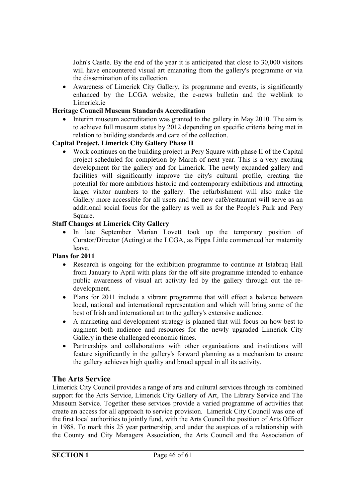John's Castle. By the end of the year it is anticipated that close to 30,000 visitors will have encountered visual art emanating from the gallery's programme or via the dissemination of its collection.

 Awareness of Limerick City Gallery, its programme and events, is significantly enhanced by the LCGA website, the e-news bulletin and the weblink to Limerick ie

#### **Heritage Council Museum Standards Accreditation**

 Interim museum accreditation was granted to the gallery in May 2010. The aim is to achieve full museum status by 2012 depending on specific criteria being met in relation to building standards and care of the collection.

#### **Capital Project, Limerick City Gallery Phase II**

 Work continues on the building project in Pery Square with phase II of the Capital project scheduled for completion by March of next year. This is a very exciting development for the gallery and for Limerick. The newly expanded gallery and facilities will significantly improve the city's cultural profile, creating the potential for more ambitious historic and contemporary exhibitions and attracting larger visitor numbers to the gallery. The refurbishment will also make the Gallery more accessible for all users and the new café/restaurant will serve as an additional social focus for the gallery as well as for the People's Park and Pery Square.

#### **Staff Changes at Limerick City Gallery**

• In late September Marian Lovett took up the temporary position of Curator/Director (Acting) at the LCGA, as Pippa Little commenced her maternity leave.

#### **Plans for 2011**

- Research is ongoing for the exhibition programme to continue at Istabraq Hall from January to April with plans for the off site programme intended to enhance public awareness of visual art activity led by the gallery through out the redevelopment.
- Plans for 2011 include a vibrant programme that will effect a balance between local, national and international representation and which will bring some of the best of Irish and international art to the gallery's extensive audience.
- A marketing and development strategy is planned that will focus on how best to augment both audience and resources for the newly upgraded Limerick City Gallery in these challenged economic times.
- Partnerships and collaborations with other organisations and institutions will feature significantly in the gallery's forward planning as a mechanism to ensure the gallery achieves high quality and broad appeal in all its activity.

#### **The Arts Service**

Limerick City Council provides a range of arts and cultural services through its combined support for the Arts Service, Limerick City Gallery of Art, The Library Service and The Museum Service. Together these services provide a varied programme of activities that create an access for all approach to service provision. Limerick City Council was one of the first local authorities to jointly fund, with the Arts Council the position of Arts Officer in 1988. To mark this 25 year partnership, and under the auspices of a relationship with the County and City Managers Association, the Arts Council and the Association of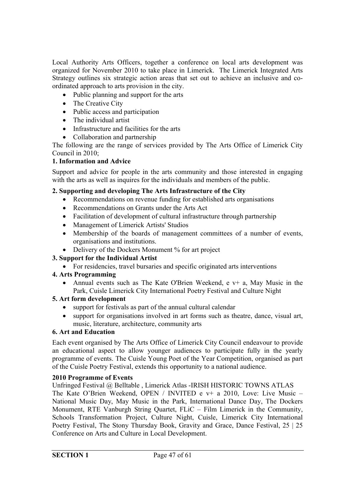Local Authority Arts Officers, together a conference on local arts development was organized for November 2010 to take place in Limerick. The Limerick Integrated Arts Strategy outlines six strategic action areas that set out to achieve an inclusive and coordinated approach to arts provision in the city.

- Public planning and support for the arts
- The Creative City
- Public access and participation
- The individual artist
- Infrastructure and facilities for the arts
- Collaboration and partnership

The following are the range of services provided by The Arts Office of Limerick City Council in 2010;

#### **1. Information and Advice**

Support and advice for people in the arts community and those interested in engaging with the arts as well as inquires for the individuals and members of the public.

#### **2. Supporting and developing The Arts Infrastructure of the City**

- Recommendations on revenue funding for established arts organisations
- Recommendations on Grants under the Arts Act
- Facilitation of development of cultural infrastructure through partnership
- Management of Limerick Artists' Studios
- Membership of the boards of management committees of a number of events, organisations and institutions.
- Delivery of the Dockers Monument % for art project

#### **3. Support for the Individual Artist**

For residencies, travel bursaries and specific originated arts interventions

#### **4. Arts Programming**

• Annual events such as The Kate O'Brien Weekend,  $e v + a$ , May Music in the Park, Cuisle Limerick City International Poetry Festival and Culture Night

#### **5. Art form development**

- support for festivals as part of the annual cultural calendar
- support for organisations involved in art forms such as theatre, dance, visual art, music, literature, architecture, community arts

#### **6. Art and Education**

Each event organised by The Arts Office of Limerick City Council endeavour to provide an educational aspect to allow younger audiences to participate fully in the yearly programme of events. The Cuisle Young Poet of the Year Competition, organised as part of the Cuisle Poetry Festival, extends this opportunity to a national audience.

#### **2010 Programme of Events**

Unfringed Festival @ Belltable , Limerick Atlas -IRISH HISTORIC TOWNS ATLAS The Kate O'Brien Weekend, OPEN / INVITED e v+ a 2010, Love: Live Music – National Music Day, May Music in the Park, International Dance Day, The Dockers Monument, RTE Vanburgh String Quartet, FLiC – Film Limerick in the Community, Schools Transformation Project, Culture Night, Cuisle, Limerick City International Poetry Festival, The Stony Thursday Book, Gravity and Grace, Dance Festival, 25 | 25 Conference on Arts and Culture in Local Development.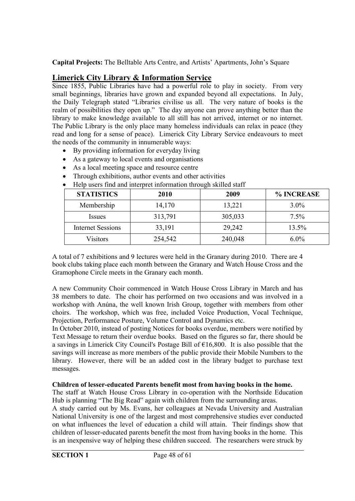**Capital Projects:** The Belltable Arts Centre, and Artists' Apartments, John's Square

#### **Limerick City Library & Information Service**

Since 1855, Public Libraries have had a powerful role to play in society. From very small beginnings, libraries have grown and expanded beyond all expectations. In July, the Daily Telegraph stated "Libraries civilise us all. The very nature of books is the realm of possibilities they open up." The day anyone can prove anything better than the library to make knowledge available to all still has not arrived, internet or no internet. The Public Library is the only place many homeless individuals can relax in peace (they read and long for a sense of peace). Limerick City Library Service endeavours to meet the needs of the community in innumerable ways:

- By providing information for everyday living
- As a gateway to local events and organisations
- As a local meeting space and resource centre
- Through exhibitions, author events and other activities

| <b>STATISTICS</b>        | <b>2010</b> | 2009    | % INCREASE |
|--------------------------|-------------|---------|------------|
| Membership               | 14,170      | 13,221  | $3.0\%$    |
| <i>Issues</i>            | 313,791     | 305,033 | 7.5%       |
| <b>Internet Sessions</b> | 33,191      | 29,242  | 13.5%      |
| Visitors                 | 254,542     | 240,048 | $6.0\%$    |

find and interpret information through skilled staff

A total of 7 exhibitions and 9 lectures were held in the Granary during 2010. There are 4 book clubs taking place each month between the Granary and Watch House Cross and the Gramophone Circle meets in the Granary each month.

A new Community Choir commenced in Watch House Cross Library in March and has 38 members to date. The choir has performed on two occasions and was involved in a workshop with Anúna, the well known Irish Group, together with members from other choirs. The workshop, which was free, included Voice Production, Vocal Technique, Projection, Performance Posture, Volume Control and Dynamics etc.

In October 2010, instead of posting Notices for books overdue, members were notified by Text Message to return their overdue books. Based on the figures so far, there should be a savings in Limerick City Council's Postage Bill of €16,800. It is also possible that the savings will increase as more members of the public provide their Mobile Numbers to the library. However, there will be an added cost in the library budget to purchase text messages.

#### **Children of lesser-educated Parents benefit most from having books in the home.**

The staff at Watch House Cross Library in co-operation with the Northside Education Hub is planning "The Big Read" again with children from the surrounding areas.

A study carried out by Ms. Evans, her colleagues at Nevada University and Australian National University is one of the largest and most comprehensive studies ever conducted on what influences the level of education a child will attain. Their findings show that children of lesser-educated parents benefit the most from having books in the home. This is an inexpensive way of helping these children succeed. The researchers were struck by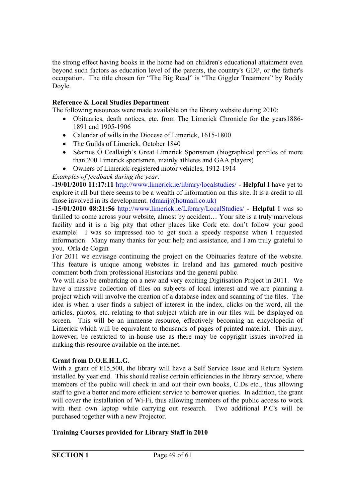the strong effect having books in the home had on children's educational attainment even beyond such factors as education level of the parents, the country's GDP, or the father's occupation. The title chosen for "The Big Read" is "The Giggler Treatment" by Roddy Doyle.

#### **Reference & Local Studies Department**

The following resources were made available on the library website during 2010:

- Obituaries, death notices, etc. from The Limerick Chronicle for the years1886- 1891 and 1905-1906
- Calendar of wills in the Diocese of Limerick, 1615-1800
- The Guilds of Limerick, October 1840
- Séamus Ó Ceallaigh's Great Limerick Sportsmen (biographical profiles of more than 200 Limerick sportsmen, mainly athletes and GAA players)
- Owners of Limerick-registered motor vehicles, 1912-1914

*Examples of feedback during the year:*

**-19/01/2010 11:17:11** http://www.limerick.ie/library/localstudies/ **- Helpful** I have yet to explore it all but there seems to be a wealth of information on this site. It is a credit to all those involved in its development. (dmanj@hotmail.co.uk)

**-15/01/2010 08:21:56** http://www.limerick.ie/Library/LocalStudies/ **- Helpful** I was so thrilled to come across your website, almost by accident… Your site is a truly marvelous facility and it is a big pity that other places like Cork etc. don't follow your good example! I was so impressed too to get such a speedy response when I requested information. Many many thanks for your help and assistance, and I am truly grateful to you. Orla de Cogan

For 2011 we envisage continuing the project on the Obituaries feature of the website. This feature is unique among websites in Ireland and has garnered much positive comment both from professional Historians and the general public.

We will also be embarking on a new and very exciting Digitisation Project in 2011. We have a massive collection of files on subjects of local interest and we are planning a project which will involve the creation of a database index and scanning of the files. The idea is when a user finds a subject of interest in the index, clicks on the word, all the articles, photos, etc. relating to that subject which are in our files will be displayed on screen. This will be an immense resource, effectively becoming an encyclopedia of Limerick which will be equivalent to thousands of pages of printed material. This may, however, be restricted to in-house use as there may be copyright issues involved in making this resource available on the internet.

#### **Grant from D.O.E.H.L.G.**

With a grant of  $E$ 15,500, the library will have a Self Service Issue and Return System installed by year end. This should realise certain efficiencies in the library service, where members of the public will check in and out their own books, C.Ds etc., thus allowing staff to give a better and more efficient service to borrower queries. In addition, the grant will cover the installation of Wi-Fi, thus allowing members of the public access to work with their own laptop while carrying out research. Two additional P.C's will be purchased together with a new Projector.

#### **Training Courses provided for Library Staff in 2010**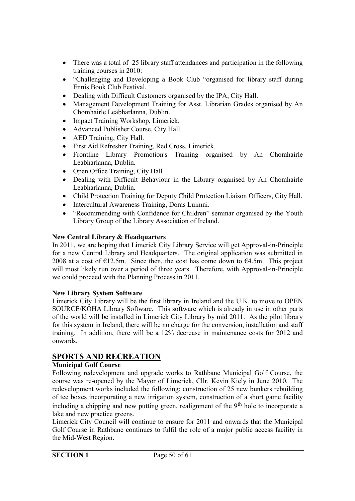- There was a total of 25 library staff attendances and participation in the following training courses in 2010:
- "Challenging and Developing a Book Club "organised for library staff during Ennis Book Club Festival.
- Dealing with Difficult Customers organised by the IPA, City Hall.
- Management Development Training for Asst. Librarian Grades organised by An Chomhairle Leabharlanna, Dublin.
- Impact Training Workshop, Limerick.
- Advanced Publisher Course, City Hall.
- AED Training, City Hall.
- First Aid Refresher Training, Red Cross, Limerick.
- Frontline Library Promotion's Training organised by An Chomhairle Leabharlanna, Dublin.
- Open Office Training, City Hall
- Dealing with Difficult Behaviour in the Library organised by An Chomhairle Leabharlanna, Dublin.
- Child Protection Training for Deputy Child Protection Liaison Officers, City Hall.
- Intercultural Awareness Training, Doras Luimni.
- "Recommending with Confidence for Children" seminar organised by the Youth Library Group of the Library Association of Ireland.

#### **New Central Library & Headquarters**

In 2011, we are hoping that Limerick City Library Service will get Approval-in-Principle for a new Central Library and Headquarters. The original application was submitted in 2008 at a cost of  $\epsilon$ 12.5m. Since then, the cost has come down to  $\epsilon$ 4.5m. This project will most likely run over a period of three years. Therefore, with Approval-in-Principle we could proceed with the Planning Process in 2011.

#### **New Library System Software**

Limerick City Library will be the first library in Ireland and the U.K. to move to OPEN SOURCE/KOHA Library Software. This software which is already in use in other parts of the world will be installed in Limerick City Library by mid 2011. As the pilot library for this system in Ireland, there will be no charge for the conversion, installation and staff training. In addition, there will be a 12% decrease in maintenance costs for 2012 and onwards.

#### **SPORTS AND RECREATION**

#### **Municipal Golf Course**

Following redevelopment and upgrade works to Rathbane Municipal Golf Course, the course was re-opened by the Mayor of Limerick, Cllr. Kevin Kiely in June 2010. The redevelopment works included the following; construction of 25 new bunkers rebuilding of tee boxes incorporating a new irrigation system, construction of a short game facility including a chipping and new putting green, realignment of the 9<sup>th</sup> hole to incorporate a lake and new practice greens.

Limerick City Council will continue to ensure for 2011 and onwards that the Municipal Golf Course in Rathbane continues to fulfil the role of a major public access facility in the Mid-West Region.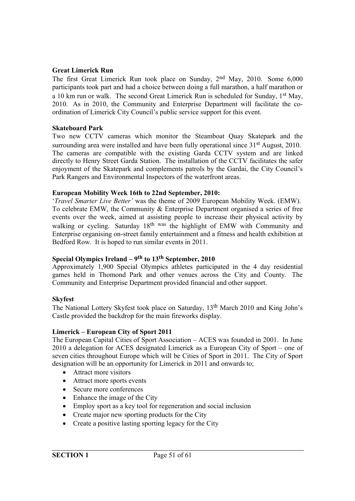#### **Great Limerick Run**

The first Great Limerick Run took place on Sunday, 2nd May, 2010. Some 6,000 participants took part and had a choice between doing a full marathon, a half marathon or a 10 km run or walk. The second Great Limerick Run is scheduled for Sunday, 1st May, 2010. As in 2010, the Community and Enterprise Department will facilitate the coordination of Limerick City Council's public service support for this event.

#### **Skateboard Park**

Two new CCTV cameras which monitor the Steamboat Quay Skatepark and the surrounding area were installed and have been fully operational since 31<sup>st</sup> August, 2010. The cameras are compatible with the existing Garda CCTV system and are linked directly to Henry Street Garda Station. The installation of the CCTV facilitates the safer enjoyment of the Skatepark and complements patrols by the Gardai, the City Council's Park Rangers and Environmental Inspectors of the waterfront areas.

#### **European Mobility Week 16th to 22nd September, 2010:**

'*Travel Smarter Live Better'* was the theme of 2009 European Mobility Week. (EMW). To celebrate EMW, the Community & Enterprise Department organised a series of free events over the week, aimed at assisting people to increase their physical activity by walking or cycling. Saturday 18<sup>th was</sup> the highlight of EMW with Community and Enterprise organising on-street family entertainment and a fitness and health exhibition at Bedford Row. It is hoped to run similar events in 2011.

#### **Special Olympics Ireland – 9th to 13th September, 2010**

Approximately 1,900 Special Olympics athletes participated in the 4 day residential games held in Thomond Park and other venues across the City and County. The Community and Enterprise Department provided financial and other support.

#### **Skyfest**

The National Lottery Skyfest took place on Saturday, 13<sup>th</sup> March 2010 and King John's Castle provided the backdrop for the main fireworks display.

#### **Limerick – European City of Sport 2011**

The European Capital Cities of Sport Association – ACES was founded in 2001. In June 2010 a delegation for ACES designated Limerick as a European City of Sport – one of seven cities throughout Europe which will be Cities of Sport in 2011. The City of Sport designation will be an opportunity for Limerick in 2011 and onwards to;

- Attract more visitors
- Attract more sports events
- Secure more conferences
- Enhance the image of the City
- Employ sport as a key tool for regeneration and social inclusion
- Create major new sporting products for the City
- Create a positive lasting sporting legacy for the City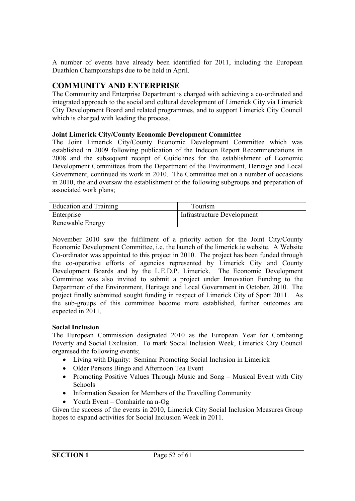A number of events have already been identified for 2011, including the European Duathlon Championships due to be held in April.

#### **COMMUNITY AND ENTERPRISE**

The Community and Enterprise Department is charged with achieving a co-ordinated and integrated approach to the social and cultural development of Limerick City via Limerick City Development Board and related programmes, and to support Limerick City Council which is charged with leading the process.

#### **Joint Limerick City/County Economic Development Committee**

The Joint Limerick City/County Economic Development Committee which was established in 2009 following publication of the Indecon Report Recommendations in 2008 and the subsequent receipt of Guidelines for the establishment of Economic Development Committees from the Department of the Environment, Heritage and Local Government, continued its work in 2010. The Committee met on a number of occasions in 2010, the and oversaw the establishment of the following subgroups and preparation of associated work plans;

| <b>Education and Training</b> | Tourism                    |
|-------------------------------|----------------------------|
| <b>Enterprise</b>             | Infrastructure Development |
| <b>Renewable Energy</b>       |                            |

November 2010 saw the fulfilment of a priority action for the Joint City/County Economic Development Committee, i.e. the launch of the limerick.ie website. A Website Co-ordinator was appointed to this project in 2010. The project has been funded through the co-operative efforts of agencies represented by Limerick City and County Development Boards and by the L.E.D.P. Limerick. The Economic Development Committee was also invited to submit a project under Innovation Funding to the Department of the Environment, Heritage and Local Government in October, 2010. The project finally submitted sought funding in respect of Limerick City of Sport 2011. As the sub-groups of this committee become more established, further outcomes are expected in 2011.

#### **Social Inclusion**

The European Commission designated 2010 as the European Year for Combating Poverty and Social Exclusion. To mark Social Inclusion Week, Limerick City Council organised the following events;

- Living with Dignity: Seminar Promoting Social Inclusion in Limerick
- Older Persons Bingo and Afternoon Tea Event
- Promoting Positive Values Through Music and Song Musical Event with City Schools
- Information Session for Members of the Travelling Community
- Youth Event Comhairle na n-Og

Given the success of the events in 2010, Limerick City Social Inclusion Measures Group hopes to expand activities for Social Inclusion Week in 2011.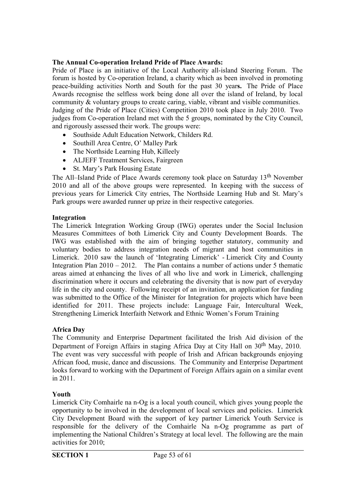#### **The Annual Co-operation Ireland Pride of Place Awards:**

Pride of Place is an initiative of the Local Authority all-island Steering Forum. The forum is hosted by Co-operation Ireland, a charity which as been involved in promoting peace-building activities North and South for the past 30 year**s.** The Pride of Place Awards recognise the selfless work being done all over the island of Ireland, by local community & voluntary groups to create caring, viable, vibrant and visible communities. Judging of the Pride of Place (Cities) Competition 2010 took place in July 2010. Two judges from Co-operation Ireland met with the 5 groups, nominated by the City Council, and rigorously assessed their work. The groups were:

- Southside Adult Education Network, Childers Rd.
- Southill Area Centre, O' Malley Park
- The Northside Learning Hub, Killeely
- ALJEFF Treatment Services, Fairgreen
- St. Mary's Park Housing Estate

The All–Island Pride of Place Awards ceremony took place on Saturday 13<sup>th</sup> November 2010 and all of the above groups were represented. In keeping with the success of previous years for Limerick City entries, The Northside Learning Hub and St. Mary's Park groups were awarded runner up prize in their respective categories.

#### **Integration**

The Limerick Integration Working Group (IWG) operates under the Social Inclusion Measures Committees of both Limerick City and County Development Boards. The IWG was established with the aim of bringing together statutory, community and voluntary bodies to address integration needs of migrant and host communities in Limerick. 2010 saw the launch of 'Integrating Limerick' - Limerick City and County Integration Plan  $2010 - 2012$ . The Plan contains a number of actions under 5 thematic areas aimed at enhancing the lives of all who live and work in Limerick, challenging discrimination where it occurs and celebrating the diversity that is now part of everyday life in the city and county. Following receipt of an invitation, an application for funding was submitted to the Office of the Minister for Integration for projects which have been identified for 2011. These projects include: Language Fair, Intercultural Week, Strengthening Limerick Interfaith Network and Ethnic Women's Forum Training

#### **Africa Day**

The Community and Enterprise Department facilitated the Irish Aid division of the Department of Foreign Affairs in staging Africa Day at City Hall on 30<sup>th</sup> May, 2010. The event was very successful with people of Irish and African backgrounds enjoying African food, music, dance and discussions. The Community and Enterprise Department looks forward to working with the Department of Foreign Affairs again on a similar event in 2011.

#### **Youth**

Limerick City Comhairle na n-Og is a local youth council, which gives young people the opportunity to be involved in the development of local services and policies. Limerick City Development Board with the support of key partner Limerick Youth Service is responsible for the delivery of the Comhairle Na n-Og programme as part of implementing the National Children's Strategy at local level. The following are the main activities for 2010;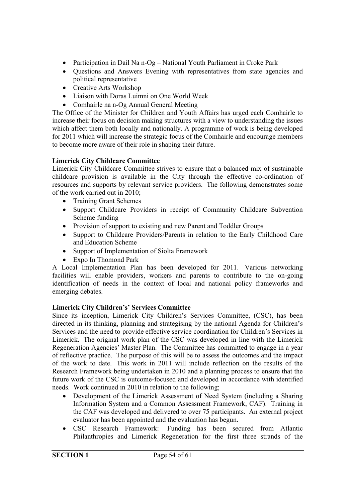- Participation in Dail Na n-Og National Youth Parliament in Croke Park
- Ouestions and Answers Evening with representatives from state agencies and political representative
- Creative Arts Workshop
- Liaison with Doras Luimni on One World Week
- Comhairle na n-Og Annual General Meeting

The Office of the Minister for Children and Youth Affairs has urged each Comhairle to increase their focus on decision making structures with a view to understanding the issues which affect them both locally and nationally. A programme of work is being developed for 2011 which will increase the strategic focus of the Comhairle and encourage members to become more aware of their role in shaping their future.

#### **Limerick City Childcare Committee**

Limerick City Childcare Committee strives to ensure that a balanced mix of sustainable childcare provision is available in the City through the effective co-ordination of resources and supports by relevant service providers. The following demonstrates some of the work carried out in 2010;

- Training Grant Schemes
- Support Childcare Providers in receipt of Community Childcare Subvention Scheme funding
- Provision of support to existing and new Parent and Toddler Groups
- Support to Childcare Providers/Parents in relation to the Early Childhood Care and Education Scheme
- Support of Implementation of Siolta Framework
- Expo In Thomond Park

A Local Implementation Plan has been developed for 2011. Various networking facilities will enable providers, workers and parents to contribute to the on-going identification of needs in the context of local and national policy frameworks and emerging debates.

#### **Limerick City Children's' Services Committee**

Since its inception, Limerick City Children's Services Committee, (CSC), has been directed in its thinking, planning and strategising by the national Agenda for Children's Services and the need to provide effective service coordination for Children's Services in Limerick. The original work plan of the CSC was developed in line with the Limerick Regeneration Agencies' Master Plan. The Committee has committed to engage in a year of reflective practice. The purpose of this will be to assess the outcomes and the impact of the work to date. This work in 2011 will include reflection on the results of the Research Framework being undertaken in 2010 and a planning process to ensure that the future work of the CSC is outcome-focused and developed in accordance with identified needs. Work continued in 2010 in relation to the following;

- Development of the Limerick Assessment of Need System (including a Sharing Information System and a Common Assessment Framework, CAF). Training in the CAF was developed and delivered to over 75 participants. An external project evaluator has been appointed and the evaluation has begun.
- CSC Research Framework: Funding has been secured from Atlantic Philanthropies and Limerick Regeneration for the first three strands of the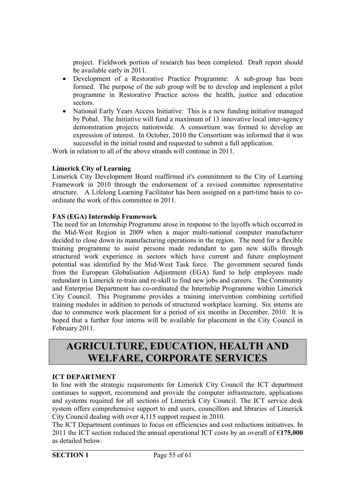project. Fieldwork portion of research has been completed. Draft report should be available early in 2011.

- Development of a Restorative Practice Programme: A sub-group has been formed. The purpose of the sub group will be to develop and implement a pilot programme in Restorative Practice across the health, justice and education sectors.
- National Early Years Access Initiative: This is a new funding initiative managed by Pobal. The Initiative will fund a maximum of 13 innovative local inter-agency demonstration projects nationwide. A consortium was formed to develop an expression of interest. In October, 2010 the Consortium was informed that it was successful in the initial round and requested to submit a full application.

Work in relation to all of the above strands will continue in 2011.

#### **Limerick City of Learning**

Limerick City Development Board reaffirmed it's commitment to the City of Learning Framework in 2010 through the endorsement of a revised committee representative structure. A Lifelong Learning Facilitator has been assigned on a part-time basis to coordinate the work of this committee in 2011.

#### **FAS (EGA) Internship Framework**

The need for an Internship Programme arose in response to the layoffs which occurred in the Mid-West Region in 2009 when a major multi-national computer manufacturer decided to close down its manufacturing operations in the region. The need for a flexible training programme to assist persons made redundant to gain new skills through structured work experience in sectors which have current and future employment potential was identified by the Mid-West Task force. The government secured funds from the European Globalisation Adjustment (EGA) fund to help employees made redundant in Limerick re-train and re-skill to find new jobs and careers. The Community and Enterprise Department has co-ordinated the Internship Programme within Limerick City Council. This Programme provides a training intervention combining certified training modules in addition to periods of structured workplace learning. Six interns are due to commence work placement for a period of six months in December, 2010. It is hoped that a further four interns will be available for placement in the City Council in February 2011.

## **AGRICULTURE, EDUCATION, HEALTH AND WELFARE, CORPORATE SERVICES**

#### **ICT DEPARTMENT**

In line with the strategic requirements for Limerick City Council the ICT department continues to support, recommend and provide the computer infrastructure, applications and systems required for all sections of Limerick City Council. The ICT service desk system offers comprehensive support to end users, councillors and libraries of Limerick City Council dealing with over 4,115 support request in 2010.

The ICT Department continues to focus on efficiencies and cost reductions initiatives. In 2011 the ICT section reduced the annual operational ICT costs by an overall of €**175,000** as detailed below.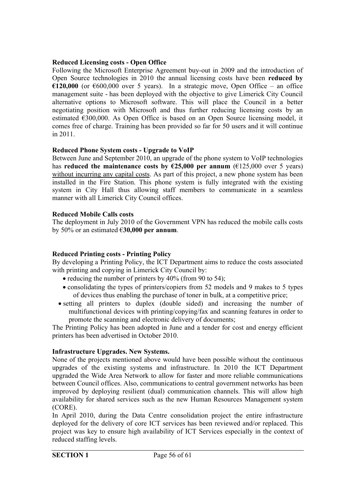#### **Reduced Licensing costs - Open Office**

Following the Microsoft Enterprise Agreement buy-out in 2009 and the introduction of Open Source technologies in 2010 the annual licensing costs have been **reduced by €120,000** (or €600,000 over 5 years). In a strategic move, Open Office – an office management suite - has been deployed with the objective to give Limerick City Council alternative options to Microsoft software. This will place the Council in a better negotiating position with Microsoft and thus further reducing licensing costs by an estimated €300,000. As Open Office is based on an Open Source licensing model, it comes free of charge. Training has been provided so far for 50 users and it will continue in 2011.

#### **Reduced Phone System costs - Upgrade to VoIP**

Between June and September 2010, an upgrade of the phone system to VoIP technologies has **reduced the maintenance costs by**  $\epsilon$ **25,000 per annum** ( $\epsilon$ 125,000 over 5 years) without incurring any capital costs. As part of this project, a new phone system has been installed in the Fire Station. This phone system is fully integrated with the existing system in City Hall thus allowing staff members to communicate in a seamless manner with all Limerick City Council offices.

#### **Reduced Mobile Calls costs**

The deployment in July 2010 of the Government VPN has reduced the mobile calls costs by 50% or an estimated €**30,000 per annum**.

#### **Reduced Printing costs - Printing Policy**

By developing a Printing Policy, the ICT Department aims to reduce the costs associated with printing and copying in Limerick City Council by:

- reducing the number of printers by  $40\%$  (from 90 to 54);
- consolidating the types of printers/copiers from 52 models and 9 makes to 5 types of devices thus enabling the purchase of toner in bulk, at a competitive price;
- setting all printers to duplex (double sided) and increasing the number of multifunctional devices with printing/copying/fax and scanning features in order to promote the scanning and electronic delivery of documents;

The Printing Policy has been adopted in June and a tender for cost and energy efficient printers has been advertised in October 2010.

#### **Infrastructure Upgrades. New Systems.**

None of the projects mentioned above would have been possible without the continuous upgrades of the existing systems and infrastructure. In 2010 the ICT Department upgraded the Wide Area Network to allow for faster and more reliable communications between Council offices. Also, communications to central government networks has been improved by deploying resilient (dual) communication channels. This will allow high availability for shared services such as the new Human Resources Management system (CORE).

In April 2010, during the Data Centre consolidation project the entire infrastructure deployed for the delivery of core ICT services has been reviewed and/or replaced. This project was key to ensure high availability of ICT Services especially in the context of reduced staffing levels.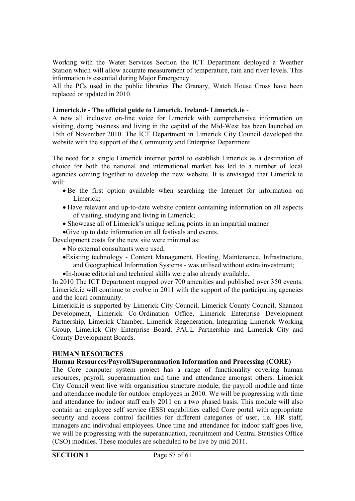Working with the Water Services Section the ICT Department deployed a Weather Station which will allow accurate measurement of temperature, rain and river levels. This information is essential during Major Emergency.

All the PCs used in the public libraries The Granary, Watch House Cross have been replaced or updated in 2010.

#### **Limerick.ie - The official guide to Limerick, Ireland- Limerick.ie** -

A new all inclusive on-line voice for Limerick with comprehensive information on visiting, doing business and living in the capital of the Mid-West has been launched on 15th of November 2010. The ICT Department in Limerick City Council developed the website with the support of the Community and Enterprise Department.

The need for a single Limerick internet portal to establish Limerick as a destination of choice for both the national and international market has led to a number of local agencies coming together to develop the new website. It is envisaged that Limerick.ie will:

- Be the first option available when searching the Internet for information on Limerick<sup>-</sup>
- Have relevant and up-to-date website content containing information on all aspects of visiting, studying and living in Limerick;
- Showcase all of Limerick's unique selling points in an impartial manner

Give up to date information on all festivals and events.

- Development costs for the new site were minimal as:
	- No external consultants were used;
	- Existing technology Content Management, Hosting, Maintenance, Infrastructure, and Geographical Information Systems - was utilised without extra investment;
	- In-house editorial and technical skills were also already available.

In 2010 The ICT Department mapped over 700 amenities and published over 350 events. Limerick.ie will continue to evolve in 2011 with the support of the participating agencies and the local community.

Limerick.ie is supported by Limerick City Council, Limerick County Council, Shannon Development, Limerick Co-Ordination Office, Limerick Enterprise Development Partnership, Limerick Chamber, Limerick Regeneration, Integrating Limerick Working Group, Limerick City Enterprise Board, PAUL Partnership and Limerick City and County Development Boards.

#### **HUMAN RESOURCES**

#### **Human Resources/Payroll/Superannuation Information and Processing (CORE)**

The Core computer system project has a range of functionality covering human resources, payroll, superannuation and time and attendance amongst others. Limerick City Council went live with organisation structure module, the payroll module and time and attendance module for outdoor employees in 2010. We will be progressing with time and attendance for indoor staff early 2011 on a two phased basis. This module will also contain an employee self service (ESS) capabilities called Core portal with appropriate security and access control facilities for different categories of user, i.e. HR staff, managers and individual employees. Once time and attendance for indoor staff goes live, we will be progressing with the superannuation, recruitment and Central Statistics Office (CSO) modules. These modules are scheduled to be live by mid 2011.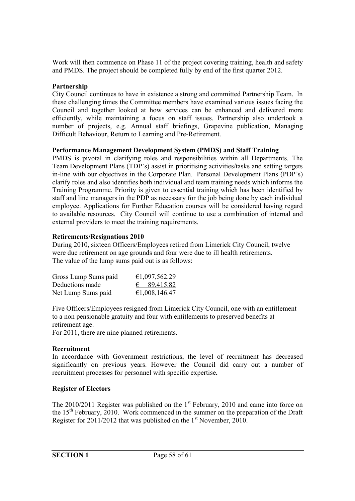Work will then commence on Phase 11 of the project covering training, health and safety and PMDS. The project should be completed fully by end of the first quarter 2012.

#### **Partnership**

City Council continues to have in existence a strong and committed Partnership Team. In these challenging times the Committee members have examined various issues facing the Council and together looked at how services can be enhanced and delivered more efficiently, while maintaining a focus on staff issues. Partnership also undertook a number of projects, e.g. Annual staff briefings, Grapevine publication, Managing Difficult Behaviour, Return to Learning and Pre-Retirement.

#### **Performance Management Development System (PMDS) and Staff Training**

PMDS is pivotal in clarifying roles and responsibilities within all Departments. The Team Development Plans (TDP's) assist in prioritising activities/tasks and setting targets in-line with our objectives in the Corporate Plan. Personal Development Plans (PDP's) clarify roles and also identifies both individual and team training needs which informs the Training Programme. Priority is given to essential training which has been identified by staff and line managers in the PDP as necessary for the job being done by each individual employee. Applications for Further Education courses will be considered having regard to available resources. City Council will continue to use a combination of internal and external providers to meet the training requirements.

#### **Retirements/Resignations 2010**

During 2010, sixteen Officers/Employees retired from Limerick City Council, twelve were due retirement on age grounds and four were due to ill health retirements. The value of the lump sums paid out is as follows:

| Gross Lump Sums paid | €1,097,562.29        |
|----------------------|----------------------|
| Deductions made      | $\epsilon$ 89,415.82 |
| Net Lump Sums paid   | €1,008,146.47        |

Five Officers/Employees resigned from Limerick City Council, one with an entitlement to a non pensionable gratuity and four with entitlements to preserved benefits at retirement age.

For 2011, there are nine planned retirements.

#### **Recruitment**

In accordance with Government restrictions, the level of recruitment has decreased significantly on previous years. However the Council did carry out a number of recruitment processes for personnel with specific expertise**.**

#### **Register of Electors**

The  $2010/2011$  Register was published on the  $1<sup>st</sup>$  February, 2010 and came into force on the  $15<sup>th</sup>$  February, 2010. Work commenced in the summer on the preparation of the Draft Register for 2011/2012 that was published on the  $1<sup>st</sup>$  November, 2010.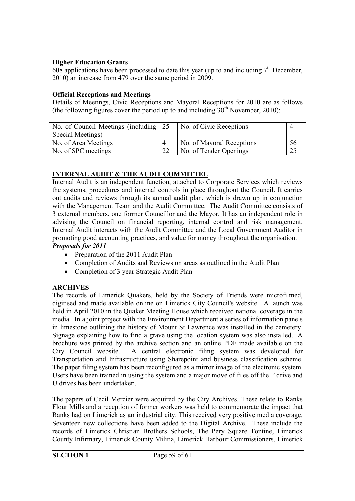#### **Higher Education Grants**

 $608$  applications have been processed to date this year (up to and including  $7<sup>th</sup>$  December, 2010) an increase from 479 over the same period in 2009.

#### **Official Receptions and Meetings**

Details of Meetings, Civic Receptions and Mayoral Receptions for 2010 are as follows (the following figures cover the period up to and including  $30<sup>th</sup>$  November, 2010):

| No. of Council Meetings (including 25 |    | No. of Civic Receptions   |    |
|---------------------------------------|----|---------------------------|----|
| Special Meetings)                     |    |                           |    |
| No. of Area Meetings                  |    | No. of Mayoral Receptions | 56 |
| No. of SPC meetings                   | ററ | No. of Tender Openings    |    |

#### **INTERNAL AUDIT & THE AUDIT COMMITTEE**

Internal Audit is an independent function, attached to Corporate Services which reviews the systems, procedures and internal controls in place throughout the Council. It carries out audits and reviews through its annual audit plan, which is drawn up in conjunction with the Management Team and the Audit Committee. The Audit Committee consists of 3 external members, one former Councillor and the Mayor. It has an independent role in advising the Council on financial reporting, internal control and risk management. Internal Audit interacts with the Audit Committee and the Local Government Auditor in promoting good accounting practices, and value for money throughout the organisation. *Proposals for 2011*

- Preparation of the 2011 Audit Plan
- Completion of Audits and Reviews on areas as outlined in the Audit Plan
- Completion of 3 year Strategic Audit Plan

#### **ARCHIVES**

The records of Limerick Quakers, held by the Society of Friends were microfilmed, digitised and made available online on Limerick City Council's website. A launch was held in April 2010 in the Quaker Meeting House which received national coverage in the media. In a joint project with the Environment Department a series of information panels in limestone outlining the history of Mount St Lawrence was installed in the cemetery. Signage explaining how to find a grave using the location system was also installed. A brochure was printed by the archive section and an online PDF made available on the City Council website. A central electronic filing system was developed for Transportation and Infrastructure using Sharepoint and business classification scheme. The paper filing system has been reconfigured as a mirror image of the electronic system. Users have been trained in using the system and a major move of files off the F drive and U drives has been undertaken.

The papers of Cecil Mercier were acquired by the City Archives. These relate to Ranks Flour Mills and a reception of former workers was held to commemorate the impact that Ranks had on Limerick as an industrial city. This received very positive media coverage. Seventeen new collections have been added to the Digital Archive. These include the records of Limerick Christian Brothers Schools, The Pery Square Tontine, Limerick County Infirmary, Limerick County Militia, Limerick Harbour Commissioners, Limerick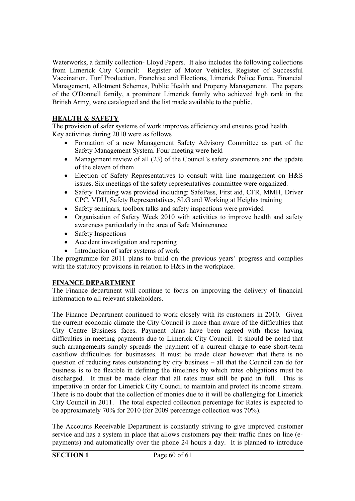Waterworks, a family collection- Lloyd Papers. It also includes the following collections from Limerick City Council: Register of Motor Vehicles, Register of Successful Vaccination, Turf Production, Franchise and Elections, Limerick Police Force, Financial Management, Allotment Schemes, Public Health and Property Management. The papers of the O'Donnell family, a prominent Limerick family who achieved high rank in the British Army, were catalogued and the list made available to the public.

#### **HEALTH & SAFETY**

The provision of safer systems of work improves efficiency and ensures good health. Key activities during 2010 were as follows

- Formation of a new Management Safety Advisory Committee as part of the Safety Management System. Four meeting were held
- Management review of all (23) of the Council's safety statements and the update of the eleven of them
- Election of Safety Representatives to consult with line management on H&S issues. Six meetings of the safety representatives committee were organized.
- Safety Training was provided including: SafePass, First aid, CFR, MMH, Driver CPC, VDU, Safety Representatives, SLG and Working at Heights training
- Safety seminars, toolbox talks and safety inspections were provided
- Organisation of Safety Week 2010 with activities to improve health and safety awareness particularly in the area of Safe Maintenance
- Safety Inspections
- Accident investigation and reporting
- Introduction of safer systems of work

The programme for 2011 plans to build on the previous years' progress and complies with the statutory provisions in relation to H&S in the workplace.

#### **FINANCE DEPARTMENT**

The Finance department will continue to focus on improving the delivery of financial information to all relevant stakeholders.

The Finance Department continued to work closely with its customers in 2010. Given the current economic climate the City Council is more than aware of the difficulties that City Centre Business faces. Payment plans have been agreed with those having difficulties in meeting payments due to Limerick City Council. It should be noted that such arrangements simply spreads the payment of a current charge to ease short-term cashflow difficulties for businesses. It must be made clear however that there is no question of reducing rates outstanding by city business  $-$  all that the Council can do for business is to be flexible in defining the timelines by which rates obligations must be discharged. It must be made clear that all rates must still be paid in full. This is imperative in order for Limerick City Council to maintain and protect its income stream. There is no doubt that the collection of monies due to it will be challenging for Limerick City Council in 2011. The total expected collection percentage for Rates is expected to be approximately 70% for 2010 (for 2009 percentage collection was 70%).

The Accounts Receivable Department is constantly striving to give improved customer service and has a system in place that allows customers pay their traffic fines on line (epayments) and automatically over the phone 24 hours a day. It is planned to introduce